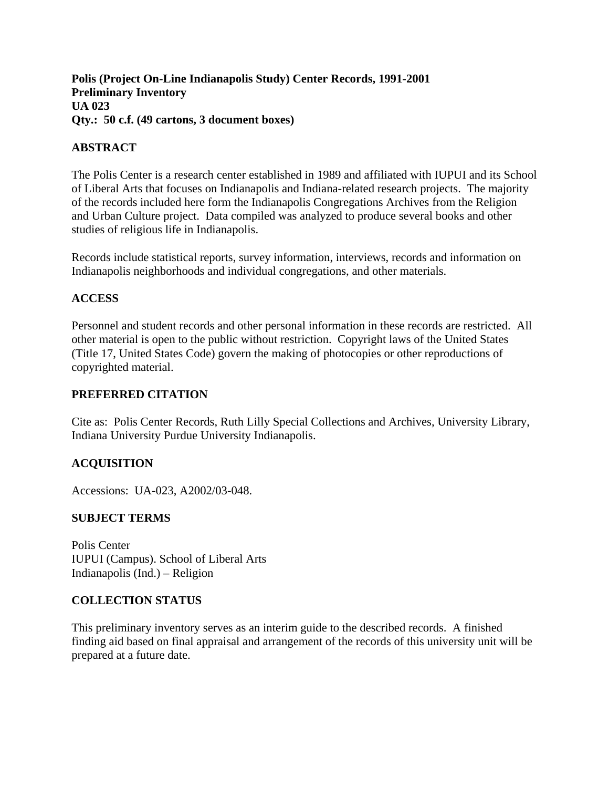**Polis (Project On-Line Indianapolis Study) Center Records, 1991-2001 Preliminary Inventory UA 023 Qty.: 50 c.f. (49 cartons, 3 document boxes)** 

## **ABSTRACT**

The Polis Center is a research center established in 1989 and affiliated with IUPUI and its School of Liberal Arts that focuses on Indianapolis and Indiana-related research projects. The majority of the records included here form the Indianapolis Congregations Archives from the Religion and Urban Culture project. Data compiled was analyzed to produce several books and other studies of religious life in Indianapolis.

Records include statistical reports, survey information, interviews, records and information on Indianapolis neighborhoods and individual congregations, and other materials.

## **ACCESS**

Personnel and student records and other personal information in these records are restricted. All other material is open to the public without restriction. Copyright laws of the United States (Title 17, United States Code) govern the making of photocopies or other reproductions of copyrighted material.

## **PREFERRED CITATION**

Cite as: Polis Center Records, Ruth Lilly Special Collections and Archives, University Library, Indiana University Purdue University Indianapolis.

# **ACQUISITION**

Accessions: UA-023, A2002/03-048.

## **SUBJECT TERMS**

Polis Center IUPUI (Campus). School of Liberal Arts Indianapolis (Ind.) – Religion

## **COLLECTION STATUS**

This preliminary inventory serves as an interim guide to the described records. A finished finding aid based on final appraisal and arrangement of the records of this university unit will be prepared at a future date.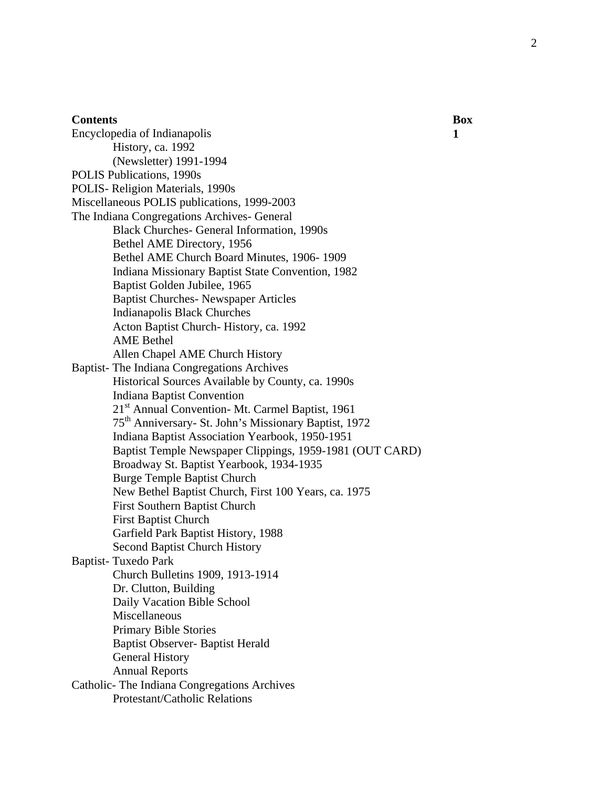#### **Contents** Box

Encyclopedia of Indianapolis **1**  History, ca. 1992 (Newsletter) 1991-1994 POLIS Publications, 1990s POLIS- Religion Materials, 1990s Miscellaneous POLIS publications, 1999-2003 The Indiana Congregations Archives- General Black Churches- General Information, 1990s Bethel AME Directory, 1956 Bethel AME Church Board Minutes, 1906- 1909 Indiana Missionary Baptist State Convention, 1982 Baptist Golden Jubilee, 1965 Baptist Churches- Newspaper Articles Indianapolis Black Churches Acton Baptist Church- History, ca. 1992 AME Bethel Allen Chapel AME Church History Baptist- The Indiana Congregations Archives Historical Sources Available by County, ca. 1990s Indiana Baptist Convention 21<sup>st</sup> Annual Convention- Mt. Carmel Baptist, 1961 75th Anniversary- St. John's Missionary Baptist, 1972 Indiana Baptist Association Yearbook, 1950-1951 Baptist Temple Newspaper Clippings, 1959-1981 (OUT CARD) Broadway St. Baptist Yearbook, 1934-1935 Burge Temple Baptist Church New Bethel Baptist Church, First 100 Years, ca. 1975 First Southern Baptist Church First Baptist Church Garfield Park Baptist History, 1988 Second Baptist Church History Baptist- Tuxedo Park Church Bulletins 1909, 1913-1914 Dr. Clutton, Building Daily Vacation Bible School Miscellaneous Primary Bible Stories Baptist Observer- Baptist Herald General History Annual Reports Catholic- The Indiana Congregations Archives Protestant/Catholic Relations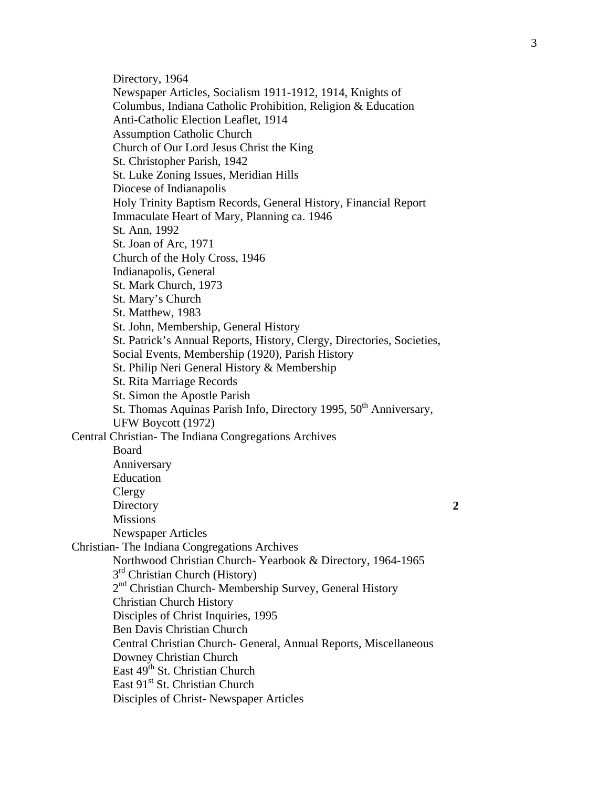Directory, 1964 Newspaper Articles, Socialism 1911-1912, 1914, Knights of Columbus, Indiana Catholic Prohibition, Religion & Education Anti-Catholic Election Leaflet, 1914 Assumption Catholic Church Church of Our Lord Jesus Christ the King St. Christopher Parish, 1942 St. Luke Zoning Issues, Meridian Hills Diocese of Indianapolis Holy Trinity Baptism Records, General History, Financial Report Immaculate Heart of Mary, Planning ca. 1946 St. Ann, 1992 St. Joan of Arc, 1971 Church of the Holy Cross, 1946 Indianapolis, General St. Mark Church, 1973 St. Mary's Church St. Matthew, 1983 St. John, Membership, General History St. Patrick's Annual Reports, History, Clergy, Directories, Societies, Social Events, Membership (1920), Parish History St. Philip Neri General History & Membership St. Rita Marriage Records St. Simon the Apostle Parish St. Thomas Aquinas Parish Info, Directory 1995, 50<sup>th</sup> Anniversary, UFW Boycott (1972) Central Christian- The Indiana Congregations Archives Board Anniversary Education Clergy Directory **2** Missions Newspaper Articles Christian- The Indiana Congregations Archives Northwood Christian Church- Yearbook & Directory, 1964-1965 3<sup>rd</sup> Christian Church (History) 2<sup>nd</sup> Christian Church-Membership Survey, General History Christian Church History Disciples of Christ Inquiries, 1995 Ben Davis Christian Church Central Christian Church- General, Annual Reports, Miscellaneous Downey Christian Church East 49<sup>th</sup> St. Christian Church East 91<sup>st</sup> St. Christian Church Disciples of Christ- Newspaper Articles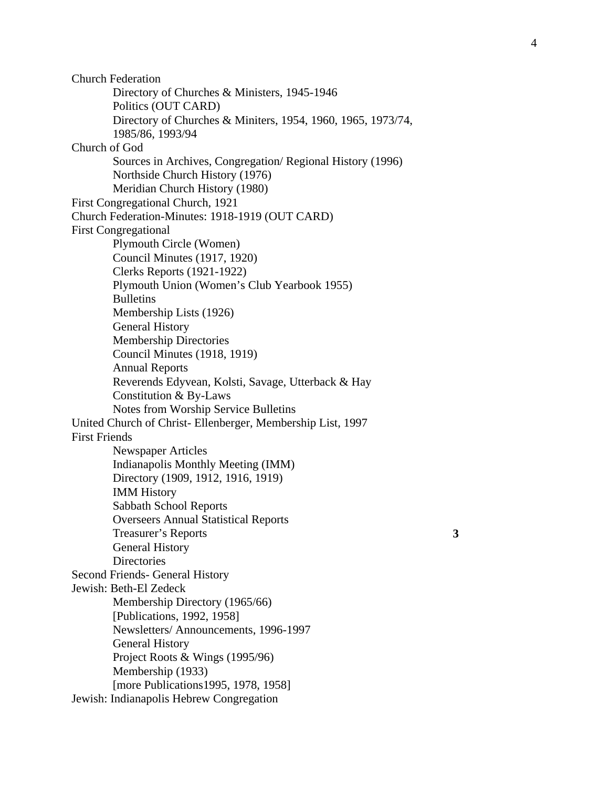Church Federation Directory of Churches & Ministers, 1945-1946 Politics (OUT CARD) Directory of Churches & Miniters, 1954, 1960, 1965, 1973/74, 1985/86, 1993/94 Church of God Sources in Archives, Congregation/ Regional History (1996) Northside Church History (1976) Meridian Church History (1980) First Congregational Church, 1921 Church Federation-Minutes: 1918-1919 (OUT CARD) First Congregational Plymouth Circle (Women) Council Minutes (1917, 1920) Clerks Reports (1921-1922) Plymouth Union (Women's Club Yearbook 1955) Bulletins Membership Lists (1926) General History Membership Directories Council Minutes (1918, 1919) Annual Reports Reverends Edyvean, Kolsti, Savage, Utterback & Hay Constitution & By-Laws Notes from Worship Service Bulletins United Church of Christ- Ellenberger, Membership List, 1997 First Friends Newspaper Articles Indianapolis Monthly Meeting (IMM) Directory (1909, 1912, 1916, 1919) IMM History Sabbath School Reports Overseers Annual Statistical Reports Treasurer's Reports **3**  General History **Directories** Second Friends- General History Jewish: Beth-El Zedeck Membership Directory (1965/66) [Publications, 1992, 1958] Newsletters/ Announcements, 1996-1997 General History Project Roots & Wings (1995/96) Membership (1933) [more Publications1995, 1978, 1958] Jewish: Indianapolis Hebrew Congregation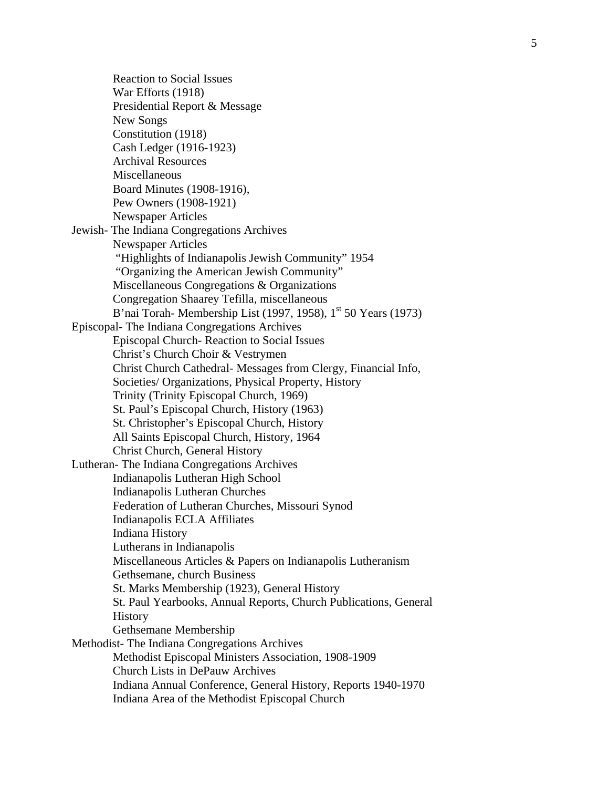Reaction to Social Issues War Efforts (1918) Presidential Report & Message New Songs Constitution (1918) Cash Ledger (1916-1923) Archival Resources Miscellaneous Board Minutes (1908-1916), Pew Owners (1908-1921) Newspaper Articles Jewish- The Indiana Congregations Archives Newspaper Articles "Highlights of Indianapolis Jewish Community" 1954 "Organizing the American Jewish Community" Miscellaneous Congregations & Organizations Congregation Shaarey Tefilla, miscellaneous B'nai Torah-Membership List (1997, 1958), 1<sup>st</sup> 50 Years (1973) Episcopal- The Indiana Congregations Archives Episcopal Church- Reaction to Social Issues Christ's Church Choir & Vestrymen Christ Church Cathedral- Messages from Clergy, Financial Info, Societies/ Organizations, Physical Property, History Trinity (Trinity Episcopal Church, 1969) St. Paul's Episcopal Church, History (1963) St. Christopher's Episcopal Church, History All Saints Episcopal Church, History, 1964 Christ Church, General History Lutheran- The Indiana Congregations Archives Indianapolis Lutheran High School Indianapolis Lutheran Churches Federation of Lutheran Churches, Missouri Synod Indianapolis ECLA Affiliates Indiana History Lutherans in Indianapolis Miscellaneous Articles & Papers on Indianapolis Lutheranism Gethsemane, church Business St. Marks Membership (1923), General History St. Paul Yearbooks, Annual Reports, Church Publications, General **History** Gethsemane Membership Methodist- The Indiana Congregations Archives Methodist Episcopal Ministers Association, 1908-1909 Church Lists in DePauw Archives Indiana Annual Conference, General History, Reports 1940-1970 Indiana Area of the Methodist Episcopal Church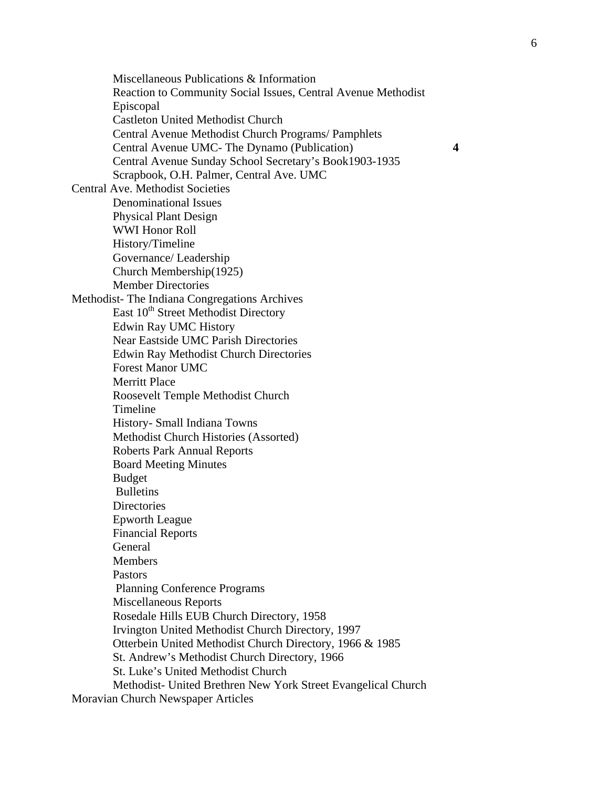Miscellaneous Publications & Information Reaction to Community Social Issues, Central Avenue Methodist Episcopal Castleton United Methodist Church Central Avenue Methodist Church Programs/ Pamphlets Central Avenue UMC- The Dynamo (Publication) **4**  Central Avenue Sunday School Secretary's Book1903-1935 Scrapbook, O.H. Palmer, Central Ave. UMC Central Ave. Methodist Societies Denominational Issues Physical Plant Design WWI Honor Roll History/Timeline Governance/ Leadership Church Membership(1925) Member Directories Methodist- The Indiana Congregations Archives East 10<sup>th</sup> Street Methodist Directory Edwin Ray UMC History Near Eastside UMC Parish Directories Edwin Ray Methodist Church Directories Forest Manor UMC Merritt Place Roosevelt Temple Methodist Church Timeline History- Small Indiana Towns Methodist Church Histories (Assorted) Roberts Park Annual Reports Board Meeting Minutes Budget Bulletins **Directories** Epworth League Financial Reports General Members Pastors Planning Conference Programs Miscellaneous Reports Rosedale Hills EUB Church Directory, 1958 Irvington United Methodist Church Directory, 1997 Otterbein United Methodist Church Directory, 1966 & 1985 St. Andrew's Methodist Church Directory, 1966 St. Luke's United Methodist Church Methodist- United Brethren New York Street Evangelical Church

Moravian Church Newspaper Articles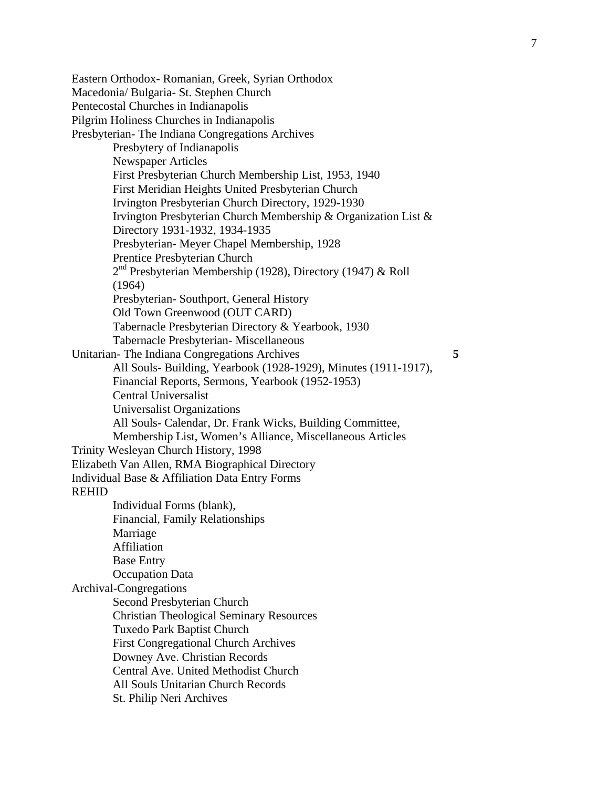Eastern Orthodox- Romanian, Greek, Syrian Orthodox Macedonia/ Bulgaria- St. Stephen Church Pentecostal Churches in Indianapolis Pilgrim Holiness Churches in Indianapolis Presbyterian- The Indiana Congregations Archives Presbytery of Indianapolis Newspaper Articles First Presbyterian Church Membership List, 1953, 1940 First Meridian Heights United Presbyterian Church Irvington Presbyterian Church Directory, 1929-1930 Irvington Presbyterian Church Membership & Organization List & Directory 1931-1932, 1934-1935 Presbyterian- Meyer Chapel Membership, 1928 Prentice Presbyterian Church 2<sup>nd</sup> Presbyterian Membership (1928), Directory (1947) & Roll (1964) Presbyterian- Southport, General History Old Town Greenwood (OUT CARD) Tabernacle Presbyterian Directory & Yearbook, 1930 Tabernacle Presbyterian- Miscellaneous Unitarian- The Indiana Congregations Archives **5**  All Souls- Building, Yearbook (1928-1929), Minutes (1911-1917), Financial Reports, Sermons, Yearbook (1952-1953) Central Universalist Universalist Organizations All Souls- Calendar, Dr. Frank Wicks, Building Committee, Membership List, Women's Alliance, Miscellaneous Articles Trinity Wesleyan Church History, 1998 Elizabeth Van Allen, RMA Biographical Directory Individual Base & Affiliation Data Entry Forms REHID Individual Forms (blank), Financial, Family Relationships Marriage Affiliation Base Entry Occupation Data Archival-Congregations Second Presbyterian Church Christian Theological Seminary Resources Tuxedo Park Baptist Church First Congregational Church Archives Downey Ave. Christian Records Central Ave. United Methodist Church All Souls Unitarian Church Records St. Philip Neri Archives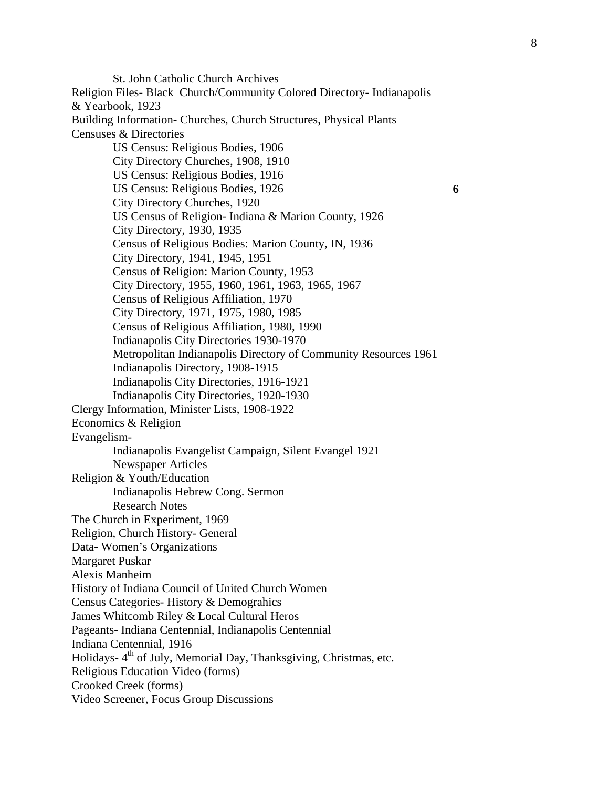St. John Catholic Church Archives Religion Files- Black Church/Community Colored Directory- Indianapolis & Yearbook, 1923 Building Information- Churches, Church Structures, Physical Plants Censuses & Directories US Census: Religious Bodies, 1906 City Directory Churches, 1908, 1910 US Census: Religious Bodies, 1916 US Census: Religious Bodies, 1926 **6**  City Directory Churches, 1920 US Census of Religion- Indiana & Marion County, 1926 City Directory, 1930, 1935 Census of Religious Bodies: Marion County, IN, 1936 City Directory, 1941, 1945, 1951 Census of Religion: Marion County, 1953 City Directory, 1955, 1960, 1961, 1963, 1965, 1967 Census of Religious Affiliation, 1970 City Directory, 1971, 1975, 1980, 1985 Census of Religious Affiliation, 1980, 1990 Indianapolis City Directories 1930-1970 Metropolitan Indianapolis Directory of Community Resources 1961 Indianapolis Directory, 1908-1915 Indianapolis City Directories, 1916-1921 Indianapolis City Directories, 1920-1930 Clergy Information, Minister Lists, 1908-1922 Economics & Religion Evangelism-Indianapolis Evangelist Campaign, Silent Evangel 1921 Newspaper Articles Religion & Youth/Education Indianapolis Hebrew Cong. Sermon Research Notes The Church in Experiment, 1969 Religion, Church History- General Data- Women's Organizations Margaret Puskar Alexis Manheim History of Indiana Council of United Church Women Census Categories- History & Demograhics James Whitcomb Riley & Local Cultural Heros Pageants- Indiana Centennial, Indianapolis Centennial Indiana Centennial, 1916 Holidays- 4<sup>th</sup> of July, Memorial Day, Thanksgiving, Christmas, etc. Religious Education Video (forms) Crooked Creek (forms) Video Screener, Focus Group Discussions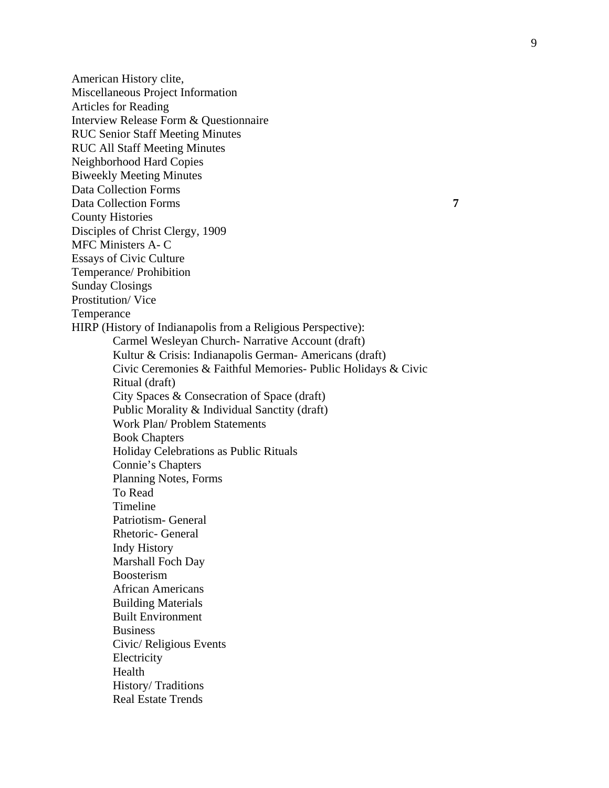American History clite, Miscellaneous Project Information Articles for Reading Interview Release Form & Questionnaire RUC Senior Staff Meeting Minutes RUC All Staff Meeting Minutes Neighborhood Hard Copies Biweekly Meeting Minutes Data Collection Forms Data Collection Forms **7**  County Histories Disciples of Christ Clergy, 1909 MFC Ministers A- C Essays of Civic Culture Temperance/ Prohibition Sunday Closings Prostitution/ Vice Temperance HIRP (History of Indianapolis from a Religious Perspective): Carmel Wesleyan Church- Narrative Account (draft) Kultur & Crisis: Indianapolis German- Americans (draft) Civic Ceremonies & Faithful Memories- Public Holidays & Civic Ritual (draft) City Spaces & Consecration of Space (draft) Public Morality & Individual Sanctity (draft) Work Plan/ Problem Statements Book Chapters Holiday Celebrations as Public Rituals Connie's Chapters Planning Notes, Forms To Read Timeline Patriotism- General Rhetoric- General Indy History Marshall Foch Day Boosterism African Americans Building Materials Built Environment Business Civic/ Religious Events Electricity Health History/ Traditions Real Estate Trends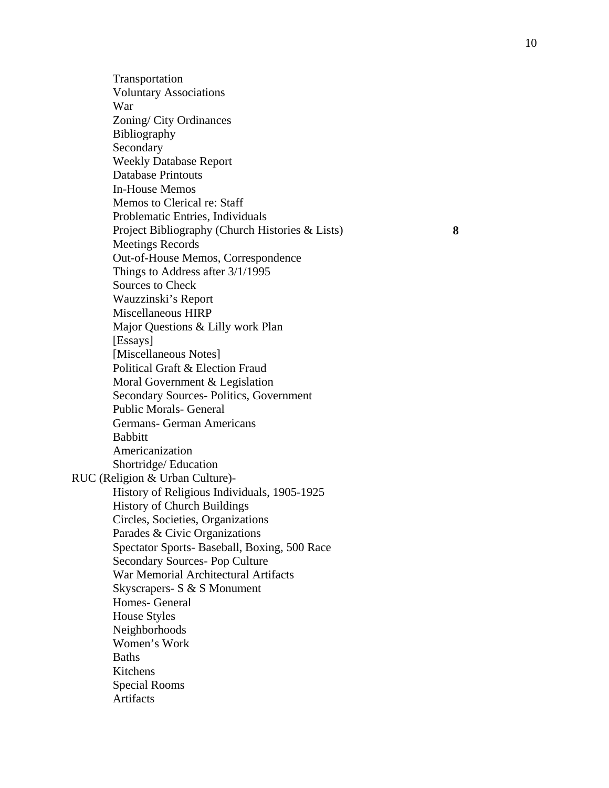Transportation Voluntary Associations War Zoning/ City Ordinances Bibliography Secondary Weekly Database Report Database Printouts In-House Memos Memos to Clerical re: Staff Problematic Entries, Individuals Project Bibliography (Church Histories & Lists) **8**  Meetings Records Out-of-House Memos, Correspondence Things to Address after 3/1/1995 Sources to Check Wauzzinski's Report Miscellaneous HIRP Major Questions & Lilly work Plan [Essays] [Miscellaneous Notes] Political Graft & Election Fraud Moral Government & Legislation Secondary Sources- Politics, Government Public Morals- General Germans- German Americans Babbitt Americanization Shortridge/ Education RUC (Religion & Urban Culture)- History of Religious Individuals, 1905-1925 History of Church Buildings Circles, Societies, Organizations Parades & Civic Organizations Spectator Sports- Baseball, Boxing, 500 Race Secondary Sources- Pop Culture War Memorial Architectural Artifacts Skyscrapers- S & S Monument Homes- General House Styles Neighborhoods Women's Work **Baths** Kitchens Special Rooms Artifacts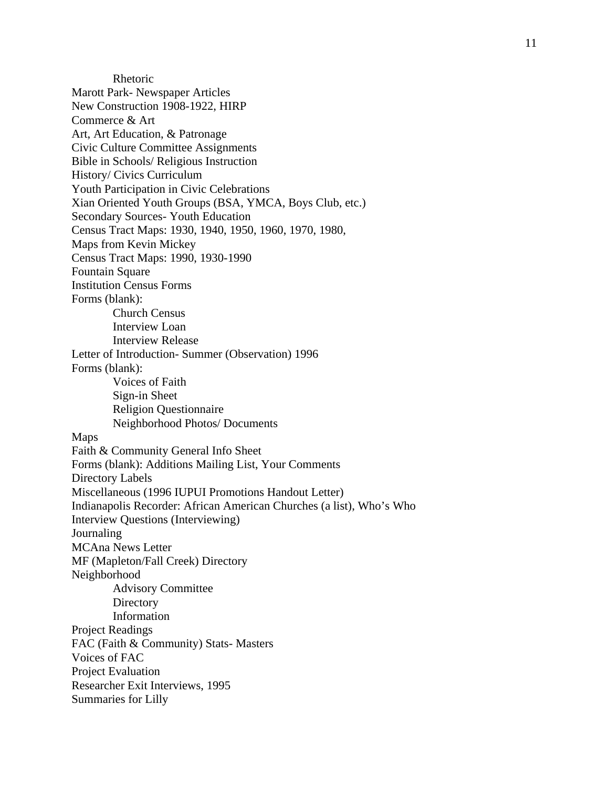Rhetoric Marott Park- Newspaper Articles New Construction 1908-1922, HIRP Commerce & Art Art, Art Education, & Patronage Civic Culture Committee Assignments Bible in Schools/ Religious Instruction History/ Civics Curriculum Youth Participation in Civic Celebrations Xian Oriented Youth Groups (BSA, YMCA, Boys Club, etc.) Secondary Sources- Youth Education Census Tract Maps: 1930, 1940, 1950, 1960, 1970, 1980, Maps from Kevin Mickey Census Tract Maps: 1990, 1930-1990 Fountain Square Institution Census Forms Forms (blank): Church Census Interview Loan Interview Release Letter of Introduction- Summer (Observation) 1996 Forms (blank): Voices of Faith Sign-in Sheet Religion Questionnaire Neighborhood Photos/ Documents Maps Faith & Community General Info Sheet Forms (blank): Additions Mailing List, Your Comments Directory Labels Miscellaneous (1996 IUPUI Promotions Handout Letter) Indianapolis Recorder: African American Churches (a list), Who's Who Interview Questions (Interviewing) Journaling MCAna News Letter MF (Mapleton/Fall Creek) Directory Neighborhood Advisory Committee **Directory** Information Project Readings FAC (Faith & Community) Stats- Masters Voices of FAC Project Evaluation Researcher Exit Interviews, 1995 Summaries for Lilly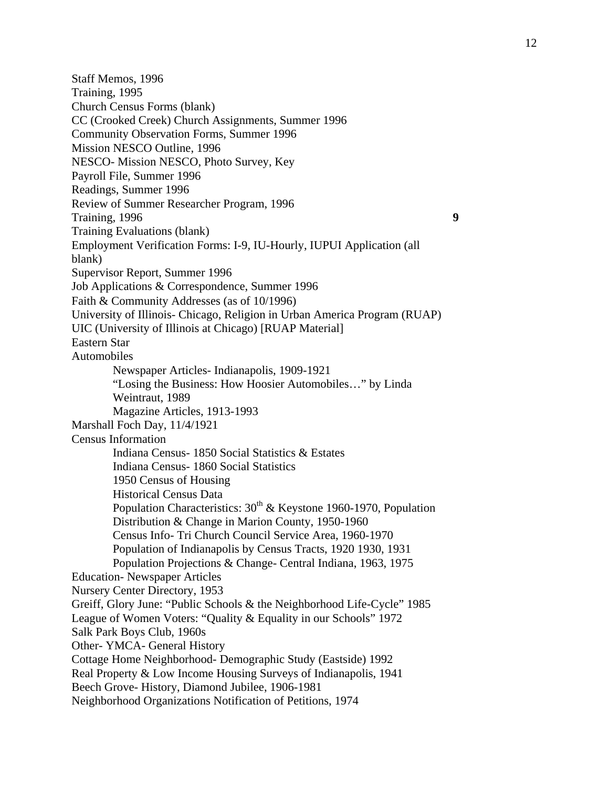Staff Memos, 1996 Training, 1995 Church Census Forms (blank) CC (Crooked Creek) Church Assignments, Summer 1996 Community Observation Forms, Summer 1996 Mission NESCO Outline, 1996 NESCO- Mission NESCO, Photo Survey, Key Payroll File, Summer 1996 Readings, Summer 1996 Review of Summer Researcher Program, 1996 Training, 1996 **9**  Training Evaluations (blank) Employment Verification Forms: I-9, IU-Hourly, IUPUI Application (all blank) Supervisor Report, Summer 1996 Job Applications & Correspondence, Summer 1996 Faith & Community Addresses (as of 10/1996) University of Illinois- Chicago, Religion in Urban America Program (RUAP) UIC (University of Illinois at Chicago) [RUAP Material] Eastern Star Automobiles Newspaper Articles- Indianapolis, 1909-1921 "Losing the Business: How Hoosier Automobiles…" by Linda Weintraut, 1989 Magazine Articles, 1913-1993 Marshall Foch Day, 11/4/1921 Census Information Indiana Census- 1850 Social Statistics & Estates Indiana Census- 1860 Social Statistics 1950 Census of Housing Historical Census Data Population Characteristics:  $30^{th}$  & Keystone 1960-1970, Population Distribution & Change in Marion County, 1950-1960 Census Info- Tri Church Council Service Area, 1960-1970 Population of Indianapolis by Census Tracts, 1920 1930, 1931 Population Projections & Change- Central Indiana, 1963, 1975 Education- Newspaper Articles Nursery Center Directory, 1953 Greiff, Glory June: "Public Schools & the Neighborhood Life-Cycle" 1985 League of Women Voters: "Quality & Equality in our Schools" 1972 Salk Park Boys Club, 1960s Other- YMCA- General History Cottage Home Neighborhood- Demographic Study (Eastside) 1992 Real Property & Low Income Housing Surveys of Indianapolis, 1941 Beech Grove- History, Diamond Jubilee, 1906-1981 Neighborhood Organizations Notification of Petitions, 1974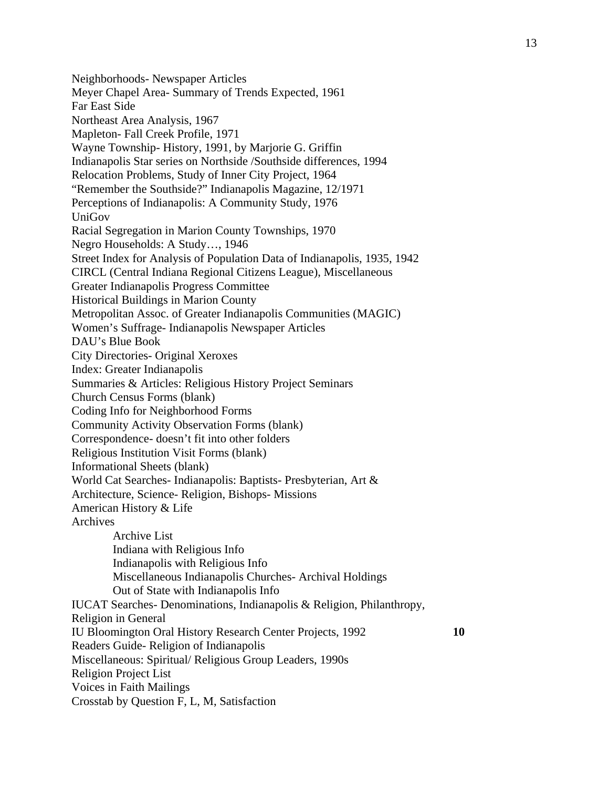Neighborhoods- Newspaper Articles Meyer Chapel Area- Summary of Trends Expected, 1961 Far East Side Northeast Area Analysis, 1967 Mapleton- Fall Creek Profile, 1971 Wayne Township- History, 1991, by Marjorie G. Griffin Indianapolis Star series on Northside /Southside differences, 1994 Relocation Problems, Study of Inner City Project, 1964 "Remember the Southside?" Indianapolis Magazine, 12/1971 Perceptions of Indianapolis: A Community Study, 1976 UniGov Racial Segregation in Marion County Townships, 1970 Negro Households: A Study…, 1946 Street Index for Analysis of Population Data of Indianapolis, 1935, 1942 CIRCL (Central Indiana Regional Citizens League), Miscellaneous Greater Indianapolis Progress Committee Historical Buildings in Marion County Metropolitan Assoc. of Greater Indianapolis Communities (MAGIC) Women's Suffrage- Indianapolis Newspaper Articles DAU's Blue Book City Directories- Original Xeroxes Index: Greater Indianapolis Summaries & Articles: Religious History Project Seminars Church Census Forms (blank) Coding Info for Neighborhood Forms Community Activity Observation Forms (blank) Correspondence- doesn't fit into other folders Religious Institution Visit Forms (blank) Informational Sheets (blank) World Cat Searches- Indianapolis: Baptists- Presbyterian, Art & Architecture, Science- Religion, Bishops- Missions American History & Life Archives Archive List Indiana with Religious Info Indianapolis with Religious Info Miscellaneous Indianapolis Churches- Archival Holdings Out of State with Indianapolis Info IUCAT Searches- Denominations, Indianapolis & Religion, Philanthropy, Religion in General IU Bloomington Oral History Research Center Projects, 1992 **10**  Readers Guide- Religion of Indianapolis Miscellaneous: Spiritual/ Religious Group Leaders, 1990s Religion Project List Voices in Faith Mailings Crosstab by Question F, L, M, Satisfaction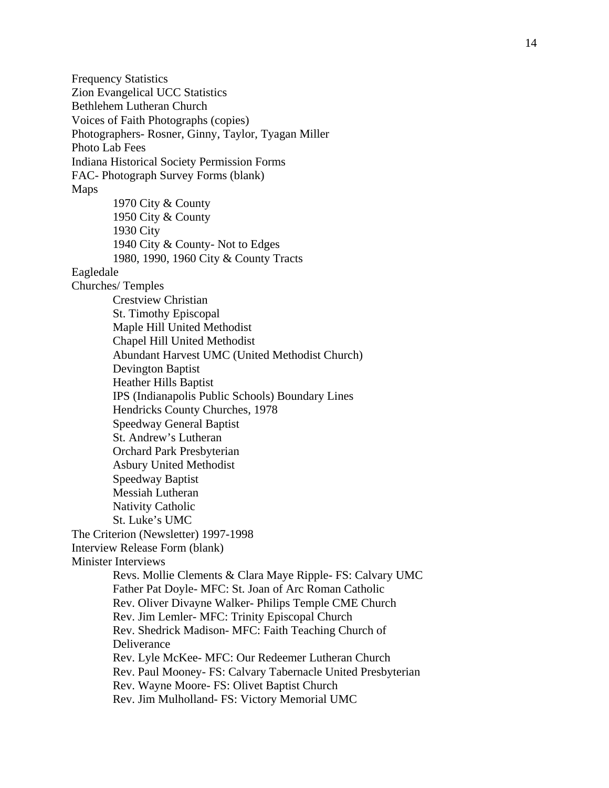Frequency Statistics Zion Evangelical UCC Statistics Bethlehem Lutheran Church Voices of Faith Photographs (copies) Photographers- Rosner, Ginny, Taylor, Tyagan Miller Photo Lab Fees Indiana Historical Society Permission Forms FAC- Photograph Survey Forms (blank) Maps 1970 City & County 1950 City & County 1930 City 1940 City & County- Not to Edges 1980, 1990, 1960 City & County Tracts Eagledale Churches/ Temples Crestview Christian St. Timothy Episcopal Maple Hill United Methodist Chapel Hill United Methodist Abundant Harvest UMC (United Methodist Church) Devington Baptist Heather Hills Baptist IPS (Indianapolis Public Schools) Boundary Lines Hendricks County Churches, 1978 Speedway General Baptist St. Andrew's Lutheran Orchard Park Presbyterian Asbury United Methodist Speedway Baptist Messiah Lutheran Nativity Catholic St. Luke's UMC The Criterion (Newsletter) 1997-1998 Interview Release Form (blank) Minister Interviews Revs. Mollie Clements & Clara Maye Ripple- FS: Calvary UMC Father Pat Doyle- MFC: St. Joan of Arc Roman Catholic Rev. Oliver Divayne Walker- Philips Temple CME Church Rev. Jim Lemler- MFC: Trinity Episcopal Church Rev. Shedrick Madison- MFC: Faith Teaching Church of **Deliverance** Rev. Lyle McKee- MFC: Our Redeemer Lutheran Church Rev. Paul Mooney- FS: Calvary Tabernacle United Presbyterian Rev. Wayne Moore- FS: Olivet Baptist Church Rev. Jim Mulholland- FS: Victory Memorial UMC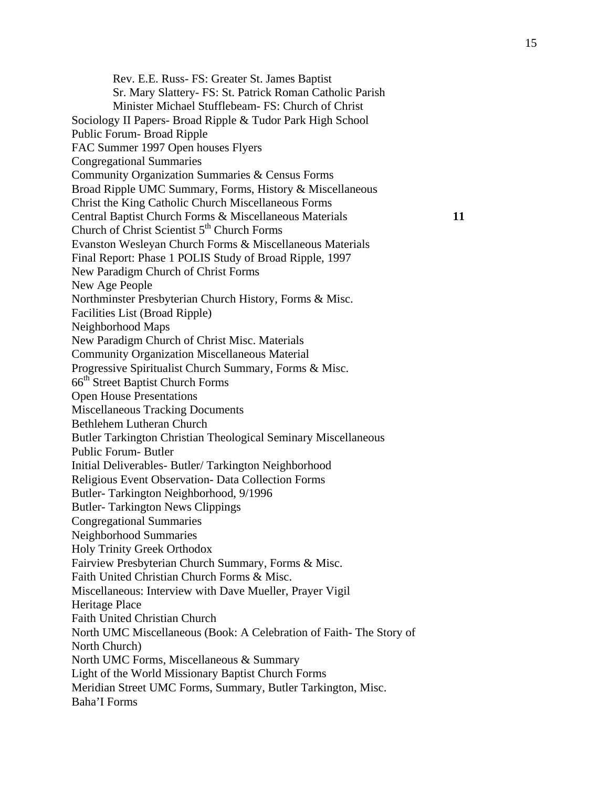Rev. E.E. Russ- FS: Greater St. James Baptist Sr. Mary Slattery- FS: St. Patrick Roman Catholic Parish Minister Michael Stufflebeam- FS: Church of Christ Sociology II Papers- Broad Ripple & Tudor Park High School Public Forum- Broad Ripple FAC Summer 1997 Open houses Flyers Congregational Summaries Community Organization Summaries & Census Forms Broad Ripple UMC Summary, Forms, History & Miscellaneous Christ the King Catholic Church Miscellaneous Forms Central Baptist Church Forms & Miscellaneous Materials **11**  Church of Christ Scientist 5<sup>th</sup> Church Forms Evanston Wesleyan Church Forms & Miscellaneous Materials Final Report: Phase 1 POLIS Study of Broad Ripple, 1997 New Paradigm Church of Christ Forms New Age People Northminster Presbyterian Church History, Forms & Misc. Facilities List (Broad Ripple) Neighborhood Maps New Paradigm Church of Christ Misc. Materials Community Organization Miscellaneous Material Progressive Spiritualist Church Summary, Forms & Misc. 66<sup>th</sup> Street Baptist Church Forms Open House Presentations Miscellaneous Tracking Documents Bethlehem Lutheran Church Butler Tarkington Christian Theological Seminary Miscellaneous Public Forum- Butler Initial Deliverables- Butler/ Tarkington Neighborhood Religious Event Observation- Data Collection Forms Butler- Tarkington Neighborhood, 9/1996 Butler- Tarkington News Clippings Congregational Summaries Neighborhood Summaries Holy Trinity Greek Orthodox Fairview Presbyterian Church Summary, Forms & Misc. Faith United Christian Church Forms & Misc. Miscellaneous: Interview with Dave Mueller, Prayer Vigil Heritage Place Faith United Christian Church North UMC Miscellaneous (Book: A Celebration of Faith- The Story of North Church) North UMC Forms, Miscellaneous & Summary Light of the World Missionary Baptist Church Forms Meridian Street UMC Forms, Summary, Butler Tarkington, Misc. Baha'I Forms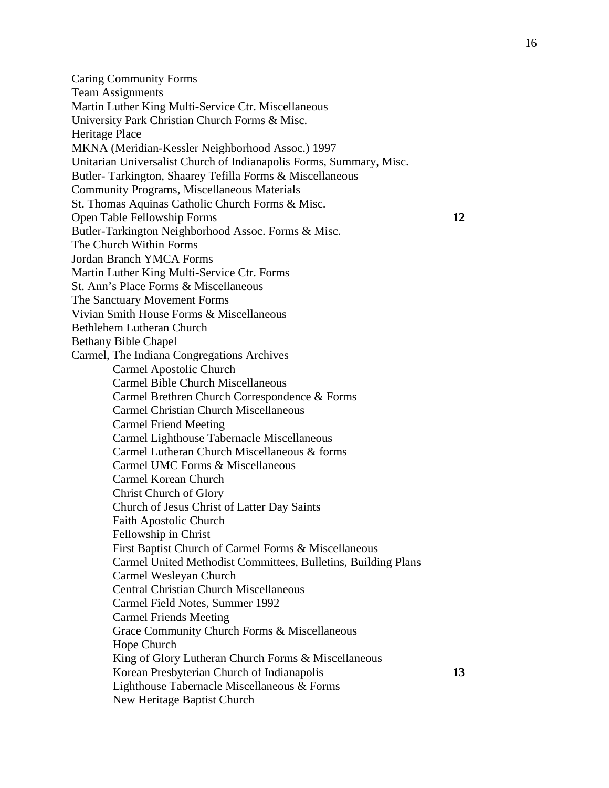Caring Community Forms Team Assignments Martin Luther King Multi-Service Ctr. Miscellaneous University Park Christian Church Forms & Misc. Heritage Place MKNA (Meridian-Kessler Neighborhood Assoc.) 1997 Unitarian Universalist Church of Indianapolis Forms, Summary, Misc. Butler- Tarkington, Shaarey Tefilla Forms & Miscellaneous Community Programs, Miscellaneous Materials St. Thomas Aquinas Catholic Church Forms & Misc. Open Table Fellowship Forms **12**  Butler-Tarkington Neighborhood Assoc. Forms & Misc. The Church Within Forms Jordan Branch YMCA Forms Martin Luther King Multi-Service Ctr. Forms St. Ann's Place Forms & Miscellaneous The Sanctuary Movement Forms Vivian Smith House Forms & Miscellaneous Bethlehem Lutheran Church Bethany Bible Chapel Carmel, The Indiana Congregations Archives Carmel Apostolic Church Carmel Bible Church Miscellaneous Carmel Brethren Church Correspondence & Forms Carmel Christian Church Miscellaneous Carmel Friend Meeting Carmel Lighthouse Tabernacle Miscellaneous Carmel Lutheran Church Miscellaneous & forms Carmel UMC Forms & Miscellaneous Carmel Korean Church Christ Church of Glory Church of Jesus Christ of Latter Day Saints Faith Apostolic Church Fellowship in Christ First Baptist Church of Carmel Forms & Miscellaneous Carmel United Methodist Committees, Bulletins, Building Plans Carmel Wesleyan Church Central Christian Church Miscellaneous Carmel Field Notes, Summer 1992 Carmel Friends Meeting Grace Community Church Forms & Miscellaneous Hope Church King of Glory Lutheran Church Forms & Miscellaneous Korean Presbyterian Church of Indianapolis **13**  Lighthouse Tabernacle Miscellaneous & Forms

New Heritage Baptist Church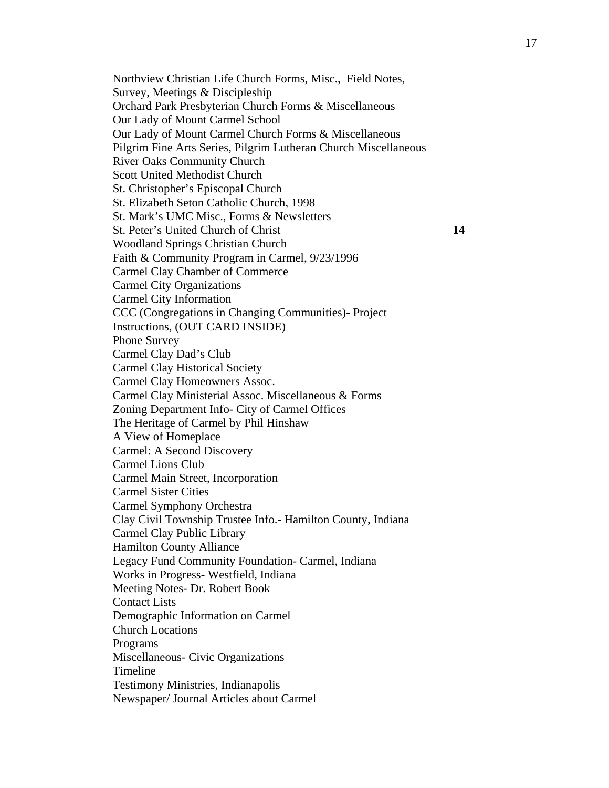Northview Christian Life Church Forms, Misc., Field Notes, Survey, Meetings & Discipleship Orchard Park Presbyterian Church Forms & Miscellaneous Our Lady of Mount Carmel School Our Lady of Mount Carmel Church Forms & Miscellaneous Pilgrim Fine Arts Series, Pilgrim Lutheran Church Miscellaneous River Oaks Community Church Scott United Methodist Church St. Christopher's Episcopal Church St. Elizabeth Seton Catholic Church, 1998 St. Mark's UMC Misc., Forms & Newsletters St. Peter's United Church of Christ **14**  Woodland Springs Christian Church Faith & Community Program in Carmel, 9/23/1996 Carmel Clay Chamber of Commerce Carmel City Organizations Carmel City Information CCC (Congregations in Changing Communities)- Project Instructions, (OUT CARD INSIDE) Phone Survey Carmel Clay Dad's Club Carmel Clay Historical Society Carmel Clay Homeowners Assoc. Carmel Clay Ministerial Assoc. Miscellaneous & Forms Zoning Department Info- City of Carmel Offices The Heritage of Carmel by Phil Hinshaw A View of Homeplace Carmel: A Second Discovery Carmel Lions Club Carmel Main Street, Incorporation Carmel Sister Cities Carmel Symphony Orchestra Clay Civil Township Trustee Info.- Hamilton County, Indiana Carmel Clay Public Library Hamilton County Alliance Legacy Fund Community Foundation- Carmel, Indiana Works in Progress- Westfield, Indiana Meeting Notes- Dr. Robert Book Contact Lists Demographic Information on Carmel Church Locations Programs Miscellaneous- Civic Organizations Timeline Testimony Ministries, Indianapolis Newspaper/ Journal Articles about Carmel

17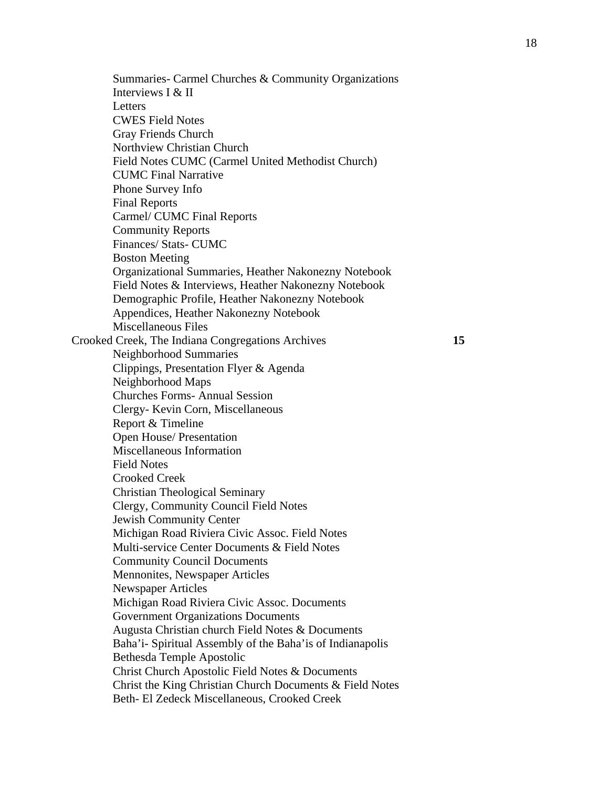Summaries- Carmel Churches & Community Organizations Interviews I & II Letters CWES Field Notes Gray Friends Church Northview Christian Church Field Notes CUMC (Carmel United Methodist Church) CUMC Final Narrative Phone Survey Info Final Reports Carmel/ CUMC Final Reports Community Reports Finances/ Stats- CUMC Boston Meeting Organizational Summaries, Heather Nakonezny Notebook Field Notes & Interviews, Heather Nakonezny Notebook Demographic Profile, Heather Nakonezny Notebook Appendices, Heather Nakonezny Notebook Miscellaneous Files Crooked Creek, The Indiana Congregations Archives **15**  Neighborhood Summaries Clippings, Presentation Flyer & Agenda Neighborhood Maps Churches Forms- Annual Session Clergy- Kevin Corn, Miscellaneous Report & Timeline Open House/ Presentation Miscellaneous Information Field Notes Crooked Creek Christian Theological Seminary Clergy, Community Council Field Notes Jewish Community Center Michigan Road Riviera Civic Assoc. Field Notes Multi-service Center Documents & Field Notes Community Council Documents Mennonites, Newspaper Articles Newspaper Articles Michigan Road Riviera Civic Assoc. Documents Government Organizations Documents Augusta Christian church Field Notes & Documents Baha'i- Spiritual Assembly of the Baha'is of Indianapolis Bethesda Temple Apostolic Christ Church Apostolic Field Notes & Documents Christ the King Christian Church Documents & Field Notes Beth- El Zedeck Miscellaneous, Crooked Creek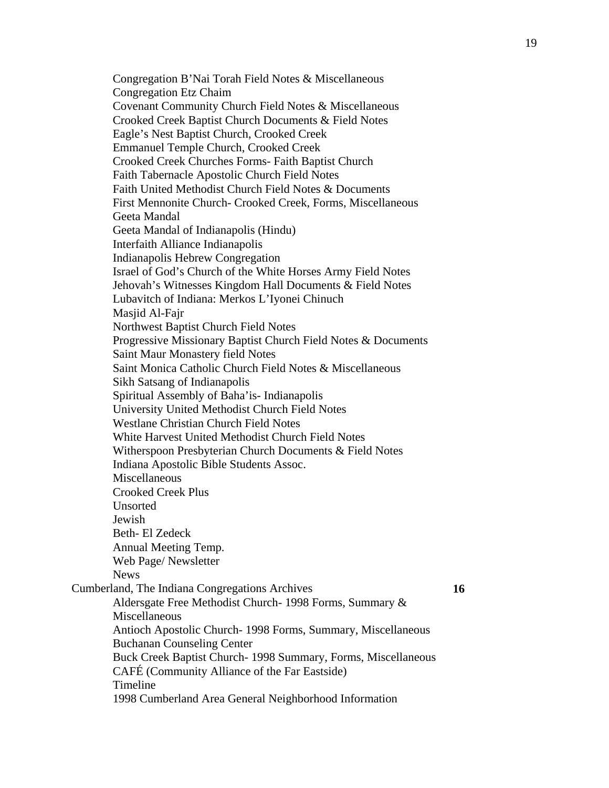Congregation B'Nai Torah Field Notes & Miscellaneous Congregation Etz Chaim Covenant Community Church Field Notes & Miscellaneous Crooked Creek Baptist Church Documents & Field Notes Eagle's Nest Baptist Church, Crooked Creek Emmanuel Temple Church, Crooked Creek Crooked Creek Churches Forms- Faith Baptist Church Faith Tabernacle Apostolic Church Field Notes Faith United Methodist Church Field Notes & Documents First Mennonite Church- Crooked Creek, Forms, Miscellaneous Geeta Mandal Geeta Mandal of Indianapolis (Hindu) Interfaith Alliance Indianapolis Indianapolis Hebrew Congregation Israel of God's Church of the White Horses Army Field Notes Jehovah's Witnesses Kingdom Hall Documents & Field Notes Lubavitch of Indiana: Merkos L'Iyonei Chinuch Masjid Al-Fajr Northwest Baptist Church Field Notes Progressive Missionary Baptist Church Field Notes & Documents Saint Maur Monastery field Notes Saint Monica Catholic Church Field Notes & Miscellaneous Sikh Satsang of Indianapolis Spiritual Assembly of Baha'is- Indianapolis University United Methodist Church Field Notes Westlane Christian Church Field Notes White Harvest United Methodist Church Field Notes Witherspoon Presbyterian Church Documents & Field Notes Indiana Apostolic Bible Students Assoc. Miscellaneous Crooked Creek Plus Unsorted Jewish Beth- El Zedeck Annual Meeting Temp. Web Page/ Newsletter News Cumberland, The Indiana Congregations Archives **16**  Aldersgate Free Methodist Church- 1998 Forms, Summary & Miscellaneous Antioch Apostolic Church- 1998 Forms, Summary, Miscellaneous Buchanan Counseling Center Buck Creek Baptist Church- 1998 Summary, Forms, Miscellaneous CAFÉ (Community Alliance of the Far Eastside) Timeline 1998 Cumberland Area General Neighborhood Information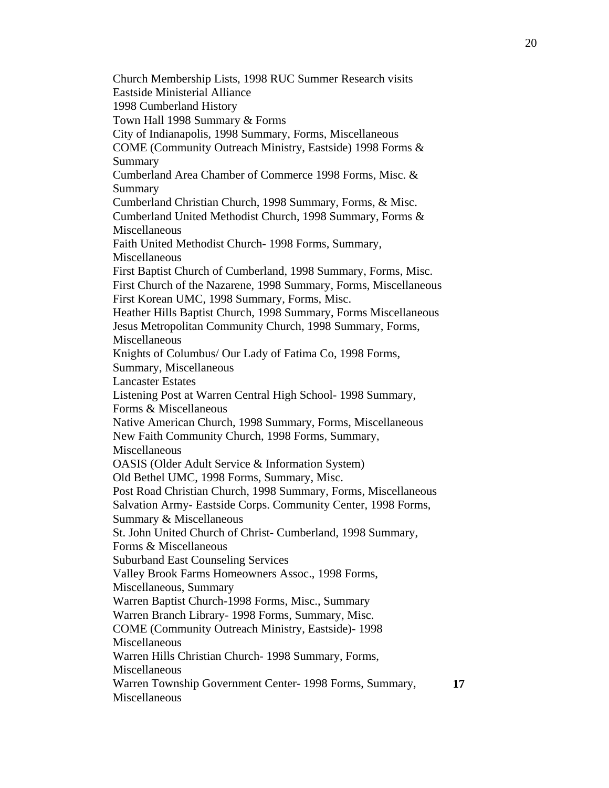Church Membership Lists, 1998 RUC Summer Research visits Eastside Ministerial Alliance 1998 Cumberland History Town Hall 1998 Summary & Forms City of Indianapolis, 1998 Summary, Forms, Miscellaneous COME (Community Outreach Ministry, Eastside) 1998 Forms & Summary Cumberland Area Chamber of Commerce 1998 Forms, Misc. & Summary Cumberland Christian Church, 1998 Summary, Forms, & Misc. Cumberland United Methodist Church, 1998 Summary, Forms & Miscellaneous Faith United Methodist Church- 1998 Forms, Summary, Miscellaneous First Baptist Church of Cumberland, 1998 Summary, Forms, Misc. First Church of the Nazarene, 1998 Summary, Forms, Miscellaneous First Korean UMC, 1998 Summary, Forms, Misc. Heather Hills Baptist Church, 1998 Summary, Forms Miscellaneous Jesus Metropolitan Community Church, 1998 Summary, Forms, Miscellaneous Knights of Columbus/ Our Lady of Fatima Co, 1998 Forms, Summary, Miscellaneous Lancaster Estates Listening Post at Warren Central High School- 1998 Summary, Forms & Miscellaneous Native American Church, 1998 Summary, Forms, Miscellaneous New Faith Community Church, 1998 Forms, Summary, **Miscellaneous** OASIS (Older Adult Service & Information System) Old Bethel UMC, 1998 Forms, Summary, Misc. Post Road Christian Church, 1998 Summary, Forms, Miscellaneous Salvation Army- Eastside Corps. Community Center, 1998 Forms, Summary & Miscellaneous St. John United Church of Christ- Cumberland, 1998 Summary, Forms & Miscellaneous Suburband East Counseling Services Valley Brook Farms Homeowners Assoc., 1998 Forms, Miscellaneous, Summary Warren Baptist Church-1998 Forms, Misc., Summary Warren Branch Library- 1998 Forms, Summary, Misc. COME (Community Outreach Ministry, Eastside)- 1998 **Miscellaneous** Warren Hills Christian Church- 1998 Summary, Forms, Miscellaneous Warren Township Government Center- 1998 Forms, Summary, Miscellaneous **17**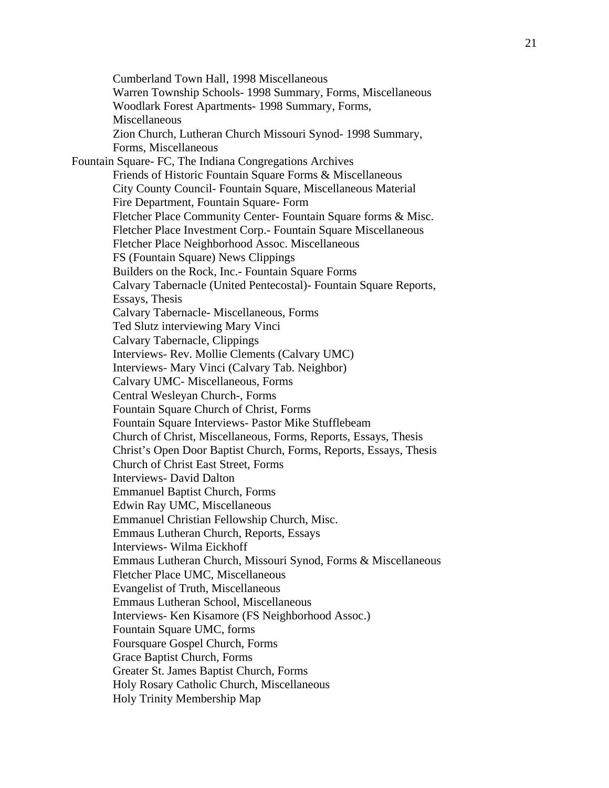Cumberland Town Hall, 1998 Miscellaneous Warren Township Schools- 1998 Summary, Forms, Miscellaneous Woodlark Forest Apartments- 1998 Summary, Forms, Miscellaneous Zion Church, Lutheran Church Missouri Synod- 1998 Summary, Forms, Miscellaneous Fountain Square- FC, The Indiana Congregations Archives Friends of Historic Fountain Square Forms & Miscellaneous City County Council- Fountain Square, Miscellaneous Material Fire Department, Fountain Square- Form Fletcher Place Community Center- Fountain Square forms & Misc. Fletcher Place Investment Corp.- Fountain Square Miscellaneous Fletcher Place Neighborhood Assoc. Miscellaneous FS (Fountain Square) News Clippings Builders on the Rock, Inc.- Fountain Square Forms Calvary Tabernacle (United Pentecostal)- Fountain Square Reports, Essays, Thesis Calvary Tabernacle- Miscellaneous, Forms Ted Slutz interviewing Mary Vinci Calvary Tabernacle, Clippings Interviews- Rev. Mollie Clements (Calvary UMC) Interviews- Mary Vinci (Calvary Tab. Neighbor) Calvary UMC- Miscellaneous, Forms Central Wesleyan Church-, Forms Fountain Square Church of Christ, Forms Fountain Square Interviews- Pastor Mike Stufflebeam Church of Christ, Miscellaneous, Forms, Reports, Essays, Thesis Christ's Open Door Baptist Church, Forms, Reports, Essays, Thesis Church of Christ East Street, Forms Interviews- David Dalton Emmanuel Baptist Church, Forms Edwin Ray UMC, Miscellaneous Emmanuel Christian Fellowship Church, Misc. Emmaus Lutheran Church, Reports, Essays Interviews- Wilma Eickhoff Emmaus Lutheran Church, Missouri Synod, Forms & Miscellaneous Fletcher Place UMC, Miscellaneous Evangelist of Truth, Miscellaneous Emmaus Lutheran School, Miscellaneous Interviews- Ken Kisamore (FS Neighborhood Assoc.) Fountain Square UMC, forms Foursquare Gospel Church, Forms Grace Baptist Church, Forms Greater St. James Baptist Church, Forms Holy Rosary Catholic Church, Miscellaneous Holy Trinity Membership Map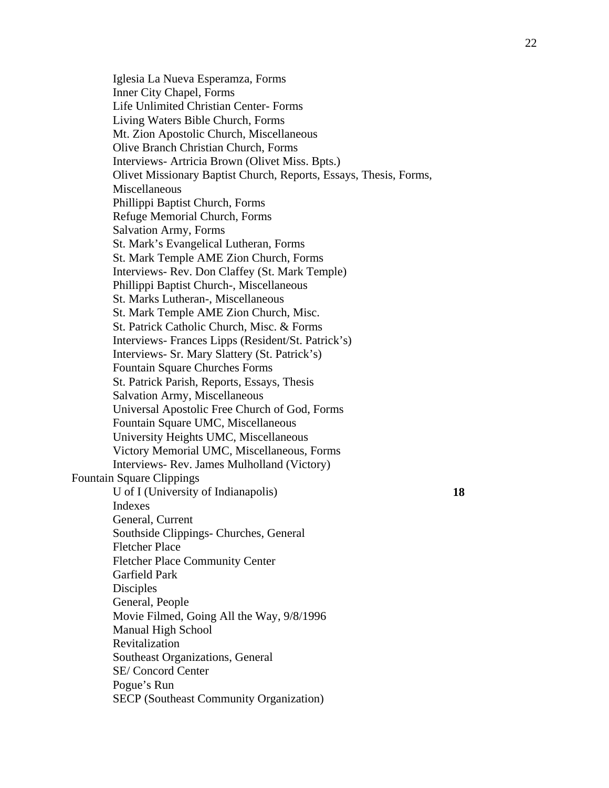Iglesia La Nueva Esperamza, Forms Inner City Chapel, Forms Life Unlimited Christian Center- Forms Living Waters Bible Church, Forms Mt. Zion Apostolic Church, Miscellaneous Olive Branch Christian Church, Forms Interviews- Artricia Brown (Olivet Miss. Bpts.) Olivet Missionary Baptist Church, Reports, Essays, Thesis, Forms, Miscellaneous Phillippi Baptist Church, Forms Refuge Memorial Church, Forms Salvation Army, Forms St. Mark's Evangelical Lutheran, Forms St. Mark Temple AME Zion Church, Forms Interviews- Rev. Don Claffey (St. Mark Temple) Phillippi Baptist Church-, Miscellaneous St. Marks Lutheran-, Miscellaneous St. Mark Temple AME Zion Church, Misc. St. Patrick Catholic Church, Misc. & Forms Interviews- Frances Lipps (Resident/St. Patrick's) Interviews- Sr. Mary Slattery (St. Patrick's) Fountain Square Churches Forms St. Patrick Parish, Reports, Essays, Thesis Salvation Army, Miscellaneous Universal Apostolic Free Church of God, Forms Fountain Square UMC, Miscellaneous University Heights UMC, Miscellaneous Victory Memorial UMC, Miscellaneous, Forms Interviews- Rev. James Mulholland (Victory) Fountain Square Clippings U of I (University of Indianapolis) **18**  Indexes General, Current Southside Clippings- Churches, General Fletcher Place Fletcher Place Community Center Garfield Park **Disciples** General, People Movie Filmed, Going All the Way, 9/8/1996 Manual High School Revitalization Southeast Organizations, General SE/ Concord Center Pogue's Run SECP (Southeast Community Organization)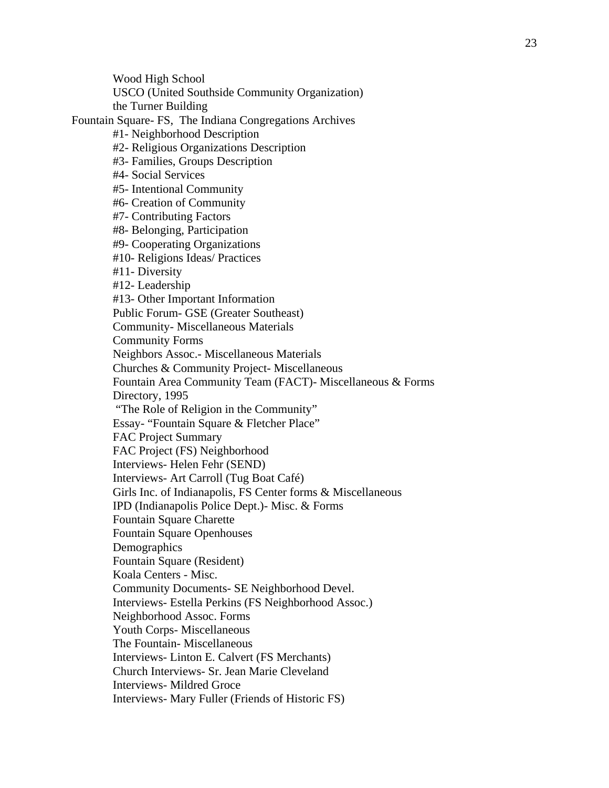Wood High School USCO (United Southside Community Organization) the Turner Building Fountain Square- FS, The Indiana Congregations Archives #1- Neighborhood Description #2- Religious Organizations Description #3- Families, Groups Description #4- Social Services #5- Intentional Community #6- Creation of Community #7- Contributing Factors #8- Belonging, Participation #9- Cooperating Organizations #10- Religions Ideas/ Practices #11- Diversity #12- Leadership #13- Other Important Information Public Forum- GSE (Greater Southeast) Community- Miscellaneous Materials Community Forms Neighbors Assoc.- Miscellaneous Materials Churches & Community Project- Miscellaneous Fountain Area Community Team (FACT)- Miscellaneous & Forms Directory, 1995 "The Role of Religion in the Community" Essay- "Fountain Square & Fletcher Place" FAC Project Summary FAC Project (FS) Neighborhood Interviews- Helen Fehr (SEND) Interviews- Art Carroll (Tug Boat Café) Girls Inc. of Indianapolis, FS Center forms & Miscellaneous IPD (Indianapolis Police Dept.)- Misc. & Forms Fountain Square Charette Fountain Square Openhouses **Demographics** Fountain Square (Resident) Koala Centers - Misc. Community Documents- SE Neighborhood Devel. Interviews- Estella Perkins (FS Neighborhood Assoc.) Neighborhood Assoc. Forms Youth Corps- Miscellaneous The Fountain- Miscellaneous Interviews- Linton E. Calvert (FS Merchants) Church Interviews- Sr. Jean Marie Cleveland Interviews- Mildred Groce Interviews- Mary Fuller (Friends of Historic FS)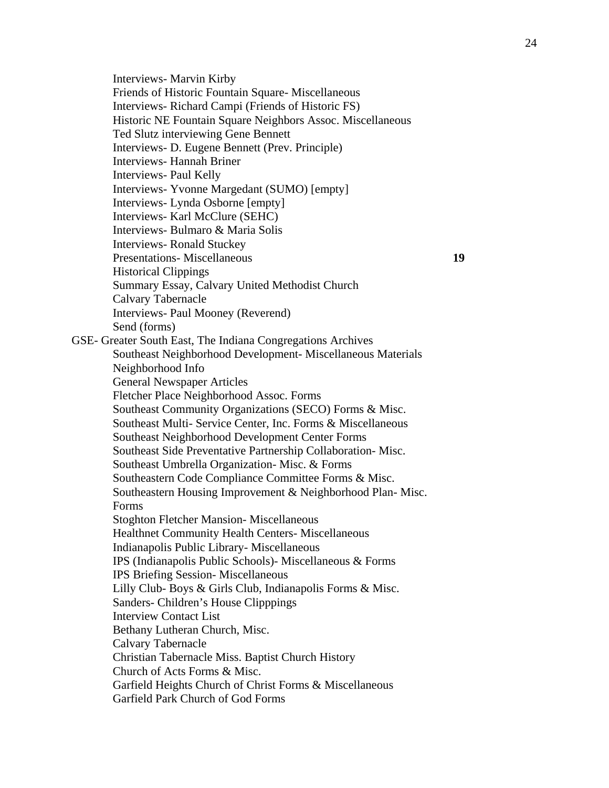Interviews- Marvin Kirby Friends of Historic Fountain Square- Miscellaneous Interviews- Richard Campi (Friends of Historic FS) Historic NE Fountain Square Neighbors Assoc. Miscellaneous Ted Slutz interviewing Gene Bennett Interviews- D. Eugene Bennett (Prev. Principle) Interviews- Hannah Briner Interviews- Paul Kelly Interviews- Yvonne Margedant (SUMO) [empty] Interviews- Lynda Osborne [empty] Interviews- Karl McClure (SEHC) Interviews- Bulmaro & Maria Solis Interviews- Ronald Stuckey Presentations- Miscellaneous **19**  Historical Clippings Summary Essay, Calvary United Methodist Church Calvary Tabernacle Interviews- Paul Mooney (Reverend) Send (forms) GSE- Greater South East, The Indiana Congregations Archives Southeast Neighborhood Development- Miscellaneous Materials Neighborhood Info General Newspaper Articles Fletcher Place Neighborhood Assoc. Forms Southeast Community Organizations (SECO) Forms & Misc. Southeast Multi- Service Center, Inc. Forms & Miscellaneous Southeast Neighborhood Development Center Forms Southeast Side Preventative Partnership Collaboration- Misc. Southeast Umbrella Organization- Misc. & Forms Southeastern Code Compliance Committee Forms & Misc. Southeastern Housing Improvement & Neighborhood Plan- Misc. Forms Stoghton Fletcher Mansion- Miscellaneous Healthnet Community Health Centers- Miscellaneous Indianapolis Public Library- Miscellaneous IPS (Indianapolis Public Schools)- Miscellaneous & Forms IPS Briefing Session- Miscellaneous Lilly Club- Boys & Girls Club, Indianapolis Forms & Misc. Sanders- Children's House Clipppings Interview Contact List Bethany Lutheran Church, Misc. Calvary Tabernacle Christian Tabernacle Miss. Baptist Church History Church of Acts Forms & Misc. Garfield Heights Church of Christ Forms & Miscellaneous Garfield Park Church of God Forms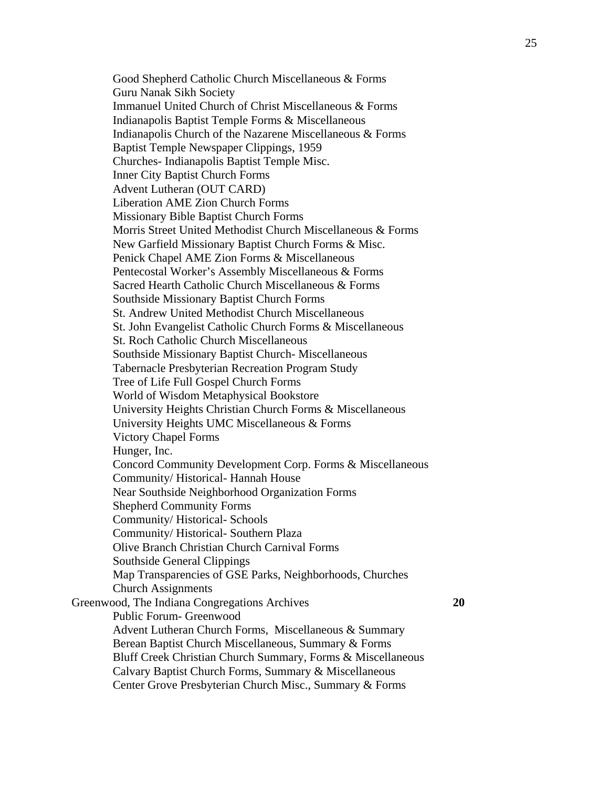Good Shepherd Catholic Church Miscellaneous & Forms Guru Nanak Sikh Society Immanuel United Church of Christ Miscellaneous & Forms Indianapolis Baptist Temple Forms & Miscellaneous Indianapolis Church of the Nazarene Miscellaneous & Forms Baptist Temple Newspaper Clippings, 1959 Churches- Indianapolis Baptist Temple Misc. Inner City Baptist Church Forms Advent Lutheran (OUT CARD) Liberation AME Zion Church Forms Missionary Bible Baptist Church Forms Morris Street United Methodist Church Miscellaneous & Forms New Garfield Missionary Baptist Church Forms & Misc. Penick Chapel AME Zion Forms & Miscellaneous Pentecostal Worker's Assembly Miscellaneous & Forms Sacred Hearth Catholic Church Miscellaneous & Forms Southside Missionary Baptist Church Forms St. Andrew United Methodist Church Miscellaneous St. John Evangelist Catholic Church Forms & Miscellaneous St. Roch Catholic Church Miscellaneous Southside Missionary Baptist Church- Miscellaneous Tabernacle Presbyterian Recreation Program Study Tree of Life Full Gospel Church Forms World of Wisdom Metaphysical Bookstore University Heights Christian Church Forms & Miscellaneous University Heights UMC Miscellaneous & Forms Victory Chapel Forms Hunger, Inc. Concord Community Development Corp. Forms & Miscellaneous Community/ Historical- Hannah House Near Southside Neighborhood Organization Forms Shepherd Community Forms Community/ Historical- Schools Community/ Historical- Southern Plaza Olive Branch Christian Church Carnival Forms Southside General Clippings Map Transparencies of GSE Parks, Neighborhoods, Churches Church Assignments Greenwood, The Indiana Congregations Archives **20**  Public Forum- Greenwood Advent Lutheran Church Forms, Miscellaneous & Summary Berean Baptist Church Miscellaneous, Summary & Forms Bluff Creek Christian Church Summary, Forms & Miscellaneous Calvary Baptist Church Forms, Summary & Miscellaneous Center Grove Presbyterian Church Misc., Summary & Forms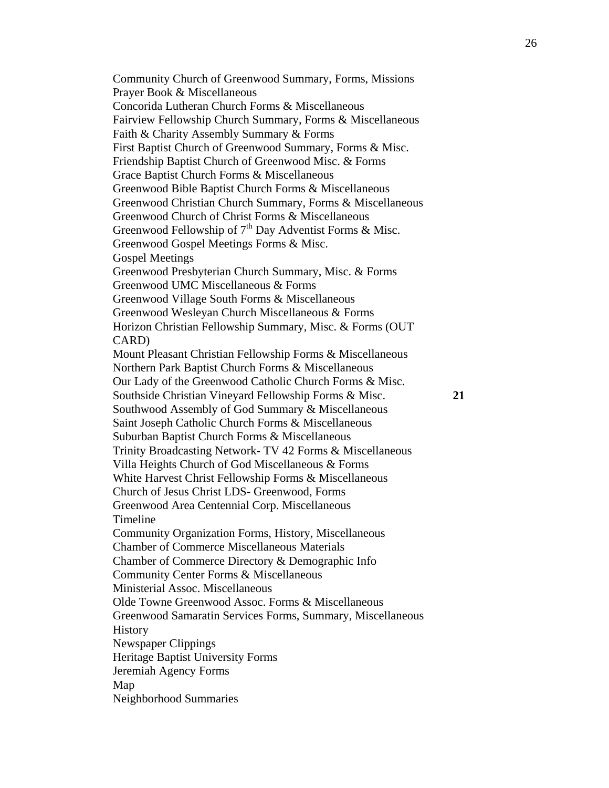Community Church of Greenwood Summary, Forms, Missions Prayer Book & Miscellaneous Concorida Lutheran Church Forms & Miscellaneous Fairview Fellowship Church Summary, Forms & Miscellaneous Faith & Charity Assembly Summary & Forms First Baptist Church of Greenwood Summary, Forms & Misc. Friendship Baptist Church of Greenwood Misc. & Forms Grace Baptist Church Forms & Miscellaneous Greenwood Bible Baptist Church Forms & Miscellaneous Greenwood Christian Church Summary, Forms & Miscellaneous Greenwood Church of Christ Forms & Miscellaneous Greenwood Fellowship of  $7<sup>th</sup>$  Day Adventist Forms & Misc. Greenwood Gospel Meetings Forms & Misc. Gospel Meetings Greenwood Presbyterian Church Summary, Misc. & Forms Greenwood UMC Miscellaneous & Forms Greenwood Village South Forms & Miscellaneous Greenwood Wesleyan Church Miscellaneous & Forms Horizon Christian Fellowship Summary, Misc. & Forms (OUT CARD) Mount Pleasant Christian Fellowship Forms & Miscellaneous Northern Park Baptist Church Forms & Miscellaneous Our Lady of the Greenwood Catholic Church Forms & Misc. Southside Christian Vineyard Fellowship Forms & Misc. **21**  Southwood Assembly of God Summary & Miscellaneous Saint Joseph Catholic Church Forms & Miscellaneous Suburban Baptist Church Forms & Miscellaneous Trinity Broadcasting Network- TV 42 Forms & Miscellaneous Villa Heights Church of God Miscellaneous & Forms White Harvest Christ Fellowship Forms & Miscellaneous Church of Jesus Christ LDS- Greenwood, Forms Greenwood Area Centennial Corp. Miscellaneous Timeline Community Organization Forms, History, Miscellaneous Chamber of Commerce Miscellaneous Materials Chamber of Commerce Directory & Demographic Info Community Center Forms & Miscellaneous Ministerial Assoc. Miscellaneous Olde Towne Greenwood Assoc. Forms & Miscellaneous Greenwood Samaratin Services Forms, Summary, Miscellaneous **History** Newspaper Clippings Heritage Baptist University Forms Jeremiah Agency Forms Map Neighborhood Summaries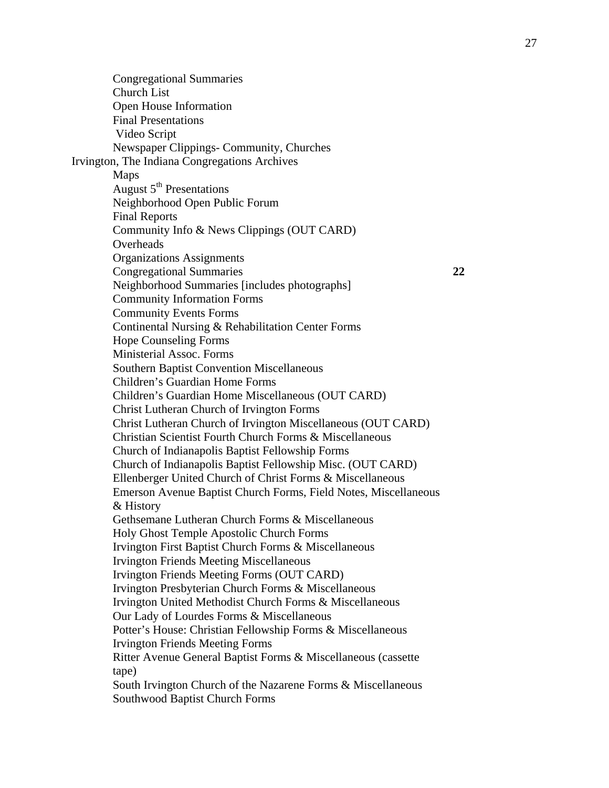Congregational Summaries Church List Open House Information Final Presentations Video Script Newspaper Clippings- Community, Churches Irvington, The Indiana Congregations Archives Maps August  $5<sup>th</sup>$  Presentations Neighborhood Open Public Forum Final Reports Community Info & News Clippings (OUT CARD) **Overheads** Organizations Assignments Congregational Summaries **22**  Neighborhood Summaries [includes photographs] Community Information Forms Community Events Forms Continental Nursing & Rehabilitation Center Forms Hope Counseling Forms Ministerial Assoc. Forms Southern Baptist Convention Miscellaneous Children's Guardian Home Forms Children's Guardian Home Miscellaneous (OUT CARD) Christ Lutheran Church of Irvington Forms Christ Lutheran Church of Irvington Miscellaneous (OUT CARD) Christian Scientist Fourth Church Forms & Miscellaneous Church of Indianapolis Baptist Fellowship Forms Church of Indianapolis Baptist Fellowship Misc. (OUT CARD) Ellenberger United Church of Christ Forms & Miscellaneous Emerson Avenue Baptist Church Forms, Field Notes, Miscellaneous & History Gethsemane Lutheran Church Forms & Miscellaneous Holy Ghost Temple Apostolic Church Forms Irvington First Baptist Church Forms & Miscellaneous Irvington Friends Meeting Miscellaneous Irvington Friends Meeting Forms (OUT CARD) Irvington Presbyterian Church Forms & Miscellaneous Irvington United Methodist Church Forms & Miscellaneous Our Lady of Lourdes Forms & Miscellaneous Potter's House: Christian Fellowship Forms & Miscellaneous Irvington Friends Meeting Forms Ritter Avenue General Baptist Forms & Miscellaneous (cassette tape) South Irvington Church of the Nazarene Forms & Miscellaneous Southwood Baptist Church Forms

27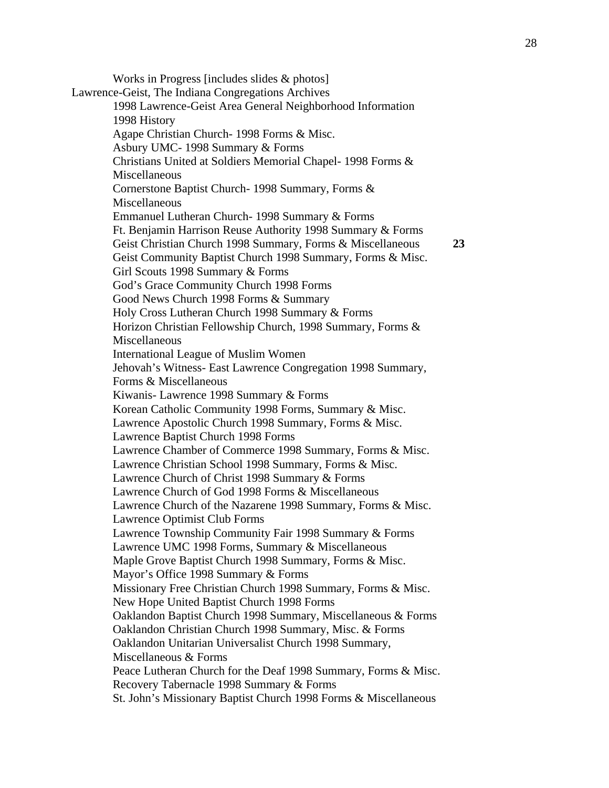Works in Progress [includes slides & photos] Lawrence-Geist, The Indiana Congregations Archives 1998 Lawrence-Geist Area General Neighborhood Information 1998 History Agape Christian Church- 1998 Forms & Misc. Asbury UMC- 1998 Summary & Forms Christians United at Soldiers Memorial Chapel- 1998 Forms & Miscellaneous Cornerstone Baptist Church- 1998 Summary, Forms & Miscellaneous Emmanuel Lutheran Church- 1998 Summary & Forms Ft. Benjamin Harrison Reuse Authority 1998 Summary & Forms Geist Christian Church 1998 Summary, Forms & Miscellaneous **23**  Geist Community Baptist Church 1998 Summary, Forms & Misc. Girl Scouts 1998 Summary & Forms God's Grace Community Church 1998 Forms Good News Church 1998 Forms & Summary Holy Cross Lutheran Church 1998 Summary & Forms Horizon Christian Fellowship Church, 1998 Summary, Forms & **Miscellaneous** International League of Muslim Women Jehovah's Witness- East Lawrence Congregation 1998 Summary, Forms & Miscellaneous Kiwanis- Lawrence 1998 Summary & Forms Korean Catholic Community 1998 Forms, Summary & Misc. Lawrence Apostolic Church 1998 Summary, Forms & Misc. Lawrence Baptist Church 1998 Forms Lawrence Chamber of Commerce 1998 Summary, Forms & Misc. Lawrence Christian School 1998 Summary, Forms & Misc. Lawrence Church of Christ 1998 Summary & Forms Lawrence Church of God 1998 Forms & Miscellaneous Lawrence Church of the Nazarene 1998 Summary, Forms & Misc. Lawrence Optimist Club Forms Lawrence Township Community Fair 1998 Summary & Forms Lawrence UMC 1998 Forms, Summary & Miscellaneous Maple Grove Baptist Church 1998 Summary, Forms & Misc. Mayor's Office 1998 Summary & Forms Missionary Free Christian Church 1998 Summary, Forms & Misc. New Hope United Baptist Church 1998 Forms Oaklandon Baptist Church 1998 Summary, Miscellaneous & Forms Oaklandon Christian Church 1998 Summary, Misc. & Forms Oaklandon Unitarian Universalist Church 1998 Summary, Miscellaneous & Forms Peace Lutheran Church for the Deaf 1998 Summary, Forms & Misc. Recovery Tabernacle 1998 Summary & Forms St. John's Missionary Baptist Church 1998 Forms & Miscellaneous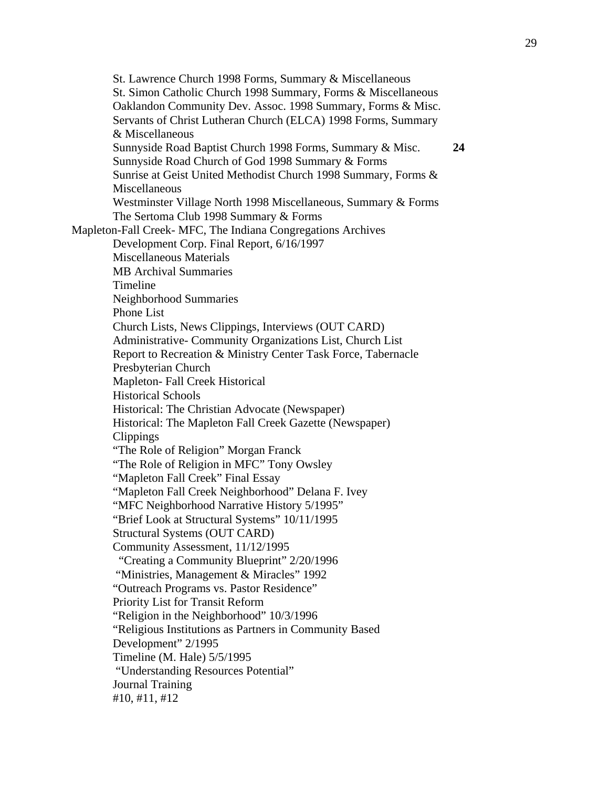St. Lawrence Church 1998 Forms, Summary & Miscellaneous St. Simon Catholic Church 1998 Summary, Forms & Miscellaneous Oaklandon Community Dev. Assoc. 1998 Summary, Forms & Misc. Servants of Christ Lutheran Church (ELCA) 1998 Forms, Summary & Miscellaneous Sunnyside Road Baptist Church 1998 Forms, Summary & Misc. **24**  Sunnyside Road Church of God 1998 Summary & Forms Sunrise at Geist United Methodist Church 1998 Summary, Forms & Miscellaneous Westminster Village North 1998 Miscellaneous, Summary & Forms The Sertoma Club 1998 Summary & Forms Mapleton-Fall Creek- MFC, The Indiana Congregations Archives Development Corp. Final Report, 6/16/1997 Miscellaneous Materials MB Archival Summaries Timeline Neighborhood Summaries Phone List Church Lists, News Clippings, Interviews (OUT CARD) Administrative- Community Organizations List, Church List Report to Recreation & Ministry Center Task Force, Tabernacle Presbyterian Church Mapleton- Fall Creek Historical Historical Schools Historical: The Christian Advocate (Newspaper) Historical: The Mapleton Fall Creek Gazette (Newspaper) Clippings "The Role of Religion" Morgan Franck "The Role of Religion in MFC" Tony Owsley "Mapleton Fall Creek" Final Essay "Mapleton Fall Creek Neighborhood" Delana F. Ivey "MFC Neighborhood Narrative History 5/1995" "Brief Look at Structural Systems" 10/11/1995 Structural Systems (OUT CARD) Community Assessment, 11/12/1995 "Creating a Community Blueprint" 2/20/1996 "Ministries, Management & Miracles" 1992 "Outreach Programs vs. Pastor Residence" Priority List for Transit Reform "Religion in the Neighborhood" 10/3/1996 "Religious Institutions as Partners in Community Based Development" 2/1995 Timeline (M. Hale) 5/5/1995 "Understanding Resources Potential" Journal Training #10, #11, #12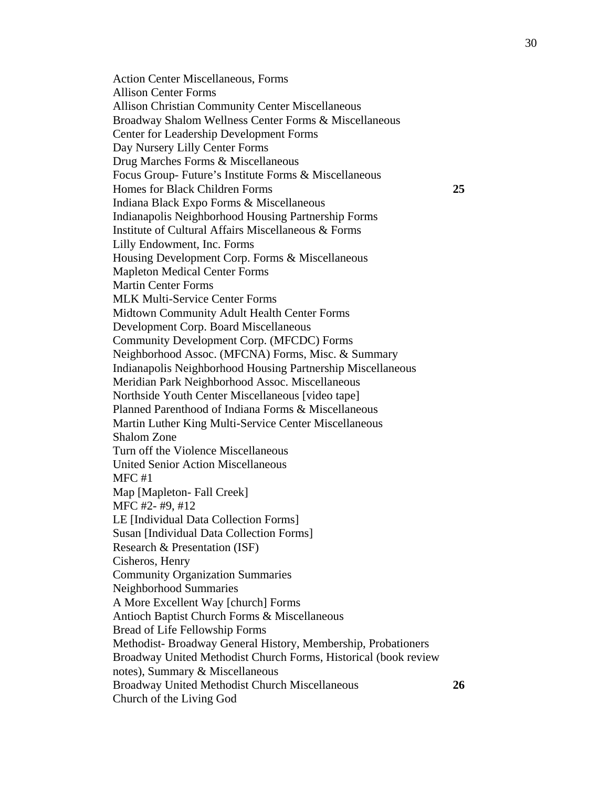Action Center Miscellaneous, Forms Allison Center Forms Allison Christian Community Center Miscellaneous Broadway Shalom Wellness Center Forms & Miscellaneous Center for Leadership Development Forms Day Nursery Lilly Center Forms Drug Marches Forms & Miscellaneous Focus Group- Future's Institute Forms & Miscellaneous Homes for Black Children Forms **25**  Indiana Black Expo Forms & Miscellaneous Indianapolis Neighborhood Housing Partnership Forms Institute of Cultural Affairs Miscellaneous & Forms Lilly Endowment, Inc. Forms Housing Development Corp. Forms & Miscellaneous Mapleton Medical Center Forms Martin Center Forms MLK Multi-Service Center Forms Midtown Community Adult Health Center Forms Development Corp. Board Miscellaneous Community Development Corp. (MFCDC) Forms Neighborhood Assoc. (MFCNA) Forms, Misc. & Summary Indianapolis Neighborhood Housing Partnership Miscellaneous Meridian Park Neighborhood Assoc. Miscellaneous Northside Youth Center Miscellaneous [video tape] Planned Parenthood of Indiana Forms & Miscellaneous Martin Luther King Multi-Service Center Miscellaneous Shalom Zone Turn off the Violence Miscellaneous United Senior Action Miscellaneous MFC #1 Map [Mapleton- Fall Creek] MFC #2- #9, #12 LE [Individual Data Collection Forms] Susan [Individual Data Collection Forms] Research & Presentation (ISF) Cisheros, Henry Community Organization Summaries Neighborhood Summaries A More Excellent Way [church] Forms Antioch Baptist Church Forms & Miscellaneous Bread of Life Fellowship Forms Methodist- Broadway General History, Membership, Probationers Broadway United Methodist Church Forms, Historical (book review notes), Summary & Miscellaneous Broadway United Methodist Church Miscellaneous **26**  Church of the Living God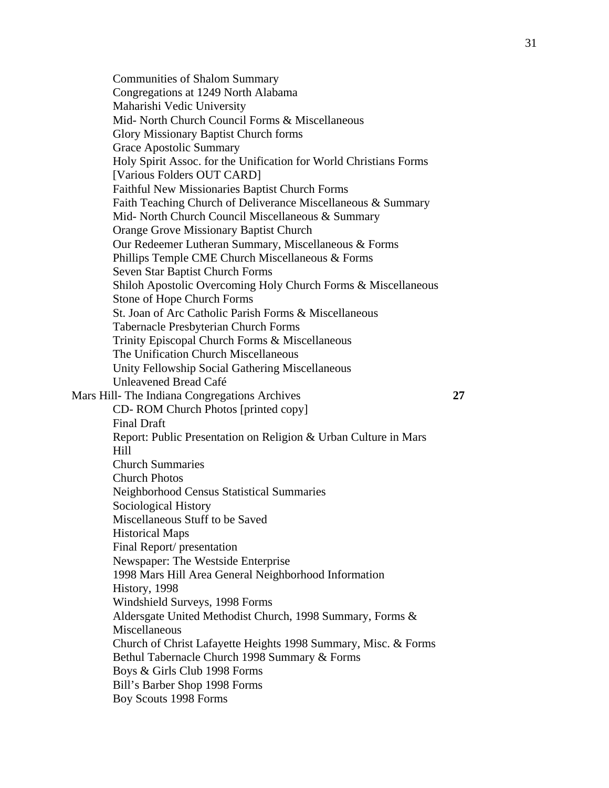Communities of Shalom Summary Congregations at 1249 North Alabama Maharishi Vedic University Mid- North Church Council Forms & Miscellaneous Glory Missionary Baptist Church forms Grace Apostolic Summary Holy Spirit Assoc. for the Unification for World Christians Forms [Various Folders OUT CARD] Faithful New Missionaries Baptist Church Forms Faith Teaching Church of Deliverance Miscellaneous & Summary Mid- North Church Council Miscellaneous & Summary Orange Grove Missionary Baptist Church Our Redeemer Lutheran Summary, Miscellaneous & Forms Phillips Temple CME Church Miscellaneous & Forms Seven Star Baptist Church Forms Shiloh Apostolic Overcoming Holy Church Forms & Miscellaneous Stone of Hope Church Forms St. Joan of Arc Catholic Parish Forms & Miscellaneous Tabernacle Presbyterian Church Forms Trinity Episcopal Church Forms & Miscellaneous The Unification Church Miscellaneous Unity Fellowship Social Gathering Miscellaneous Unleavened Bread Café Mars Hill- The Indiana Congregations Archives **27**  CD- ROM Church Photos [printed copy] Final Draft Report: Public Presentation on Religion & Urban Culture in Mars Hill Church Summaries Church Photos Neighborhood Census Statistical Summaries Sociological History Miscellaneous Stuff to be Saved Historical Maps Final Report/ presentation Newspaper: The Westside Enterprise 1998 Mars Hill Area General Neighborhood Information History, 1998 Windshield Surveys, 1998 Forms Aldersgate United Methodist Church, 1998 Summary, Forms & Miscellaneous Church of Christ Lafayette Heights 1998 Summary, Misc. & Forms Bethul Tabernacle Church 1998 Summary & Forms Boys & Girls Club 1998 Forms Bill's Barber Shop 1998 Forms Boy Scouts 1998 Forms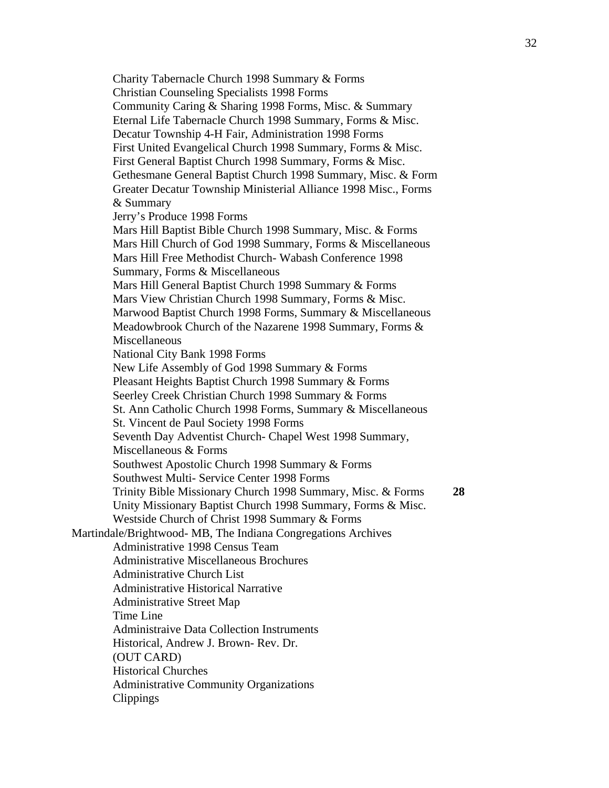Charity Tabernacle Church 1998 Summary & Forms Christian Counseling Specialists 1998 Forms Community Caring & Sharing 1998 Forms, Misc. & Summary Eternal Life Tabernacle Church 1998 Summary, Forms & Misc. Decatur Township 4-H Fair, Administration 1998 Forms First United Evangelical Church 1998 Summary, Forms & Misc. First General Baptist Church 1998 Summary, Forms & Misc. Gethesmane General Baptist Church 1998 Summary, Misc. & Form Greater Decatur Township Ministerial Alliance 1998 Misc., Forms & Summary Jerry's Produce 1998 Forms Mars Hill Baptist Bible Church 1998 Summary, Misc. & Forms Mars Hill Church of God 1998 Summary, Forms & Miscellaneous Mars Hill Free Methodist Church- Wabash Conference 1998 Summary, Forms & Miscellaneous Mars Hill General Baptist Church 1998 Summary & Forms Mars View Christian Church 1998 Summary, Forms & Misc. Marwood Baptist Church 1998 Forms, Summary & Miscellaneous Meadowbrook Church of the Nazarene 1998 Summary, Forms & Miscellaneous National City Bank 1998 Forms New Life Assembly of God 1998 Summary & Forms Pleasant Heights Baptist Church 1998 Summary & Forms Seerley Creek Christian Church 1998 Summary & Forms St. Ann Catholic Church 1998 Forms, Summary & Miscellaneous St. Vincent de Paul Society 1998 Forms Seventh Day Adventist Church- Chapel West 1998 Summary, Miscellaneous & Forms Southwest Apostolic Church 1998 Summary & Forms Southwest Multi- Service Center 1998 Forms Trinity Bible Missionary Church 1998 Summary, Misc. & Forms **28**  Unity Missionary Baptist Church 1998 Summary, Forms & Misc. Westside Church of Christ 1998 Summary & Forms Martindale/Brightwood- MB, The Indiana Congregations Archives Administrative 1998 Census Team Administrative Miscellaneous Brochures Administrative Church List Administrative Historical Narrative Administrative Street Map Time Line Administraive Data Collection Instruments Historical, Andrew J. Brown- Rev. Dr. (OUT CARD) Historical Churches Administrative Community Organizations Clippings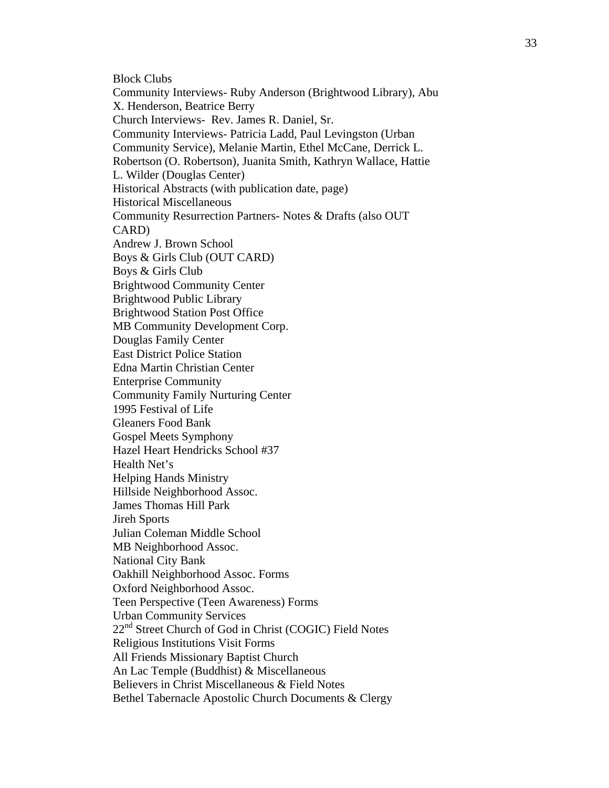Block Clubs Community Interviews- Ruby Anderson (Brightwood Library), Abu X. Henderson, Beatrice Berry Church Interviews- Rev. James R. Daniel, Sr. Community Interviews- Patricia Ladd, Paul Levingston (Urban Community Service), Melanie Martin, Ethel McCane, Derrick L. Robertson (O. Robertson), Juanita Smith, Kathryn Wallace, Hattie L. Wilder (Douglas Center) Historical Abstracts (with publication date, page) Historical Miscellaneous Community Resurrection Partners- Notes & Drafts (also OUT CARD) Andrew J. Brown School Boys & Girls Club (OUT CARD) Boys & Girls Club Brightwood Community Center Brightwood Public Library Brightwood Station Post Office MB Community Development Corp. Douglas Family Center East District Police Station Edna Martin Christian Center Enterprise Community Community Family Nurturing Center 1995 Festival of Life Gleaners Food Bank Gospel Meets Symphony Hazel Heart Hendricks School #37 Health Net's Helping Hands Ministry Hillside Neighborhood Assoc. James Thomas Hill Park Jireh Sports Julian Coleman Middle School MB Neighborhood Assoc. National City Bank Oakhill Neighborhood Assoc. Forms Oxford Neighborhood Assoc. Teen Perspective (Teen Awareness) Forms Urban Community Services 22<sup>nd</sup> Street Church of God in Christ (COGIC) Field Notes Religious Institutions Visit Forms All Friends Missionary Baptist Church An Lac Temple (Buddhist) & Miscellaneous Believers in Christ Miscellaneous & Field Notes Bethel Tabernacle Apostolic Church Documents & Clergy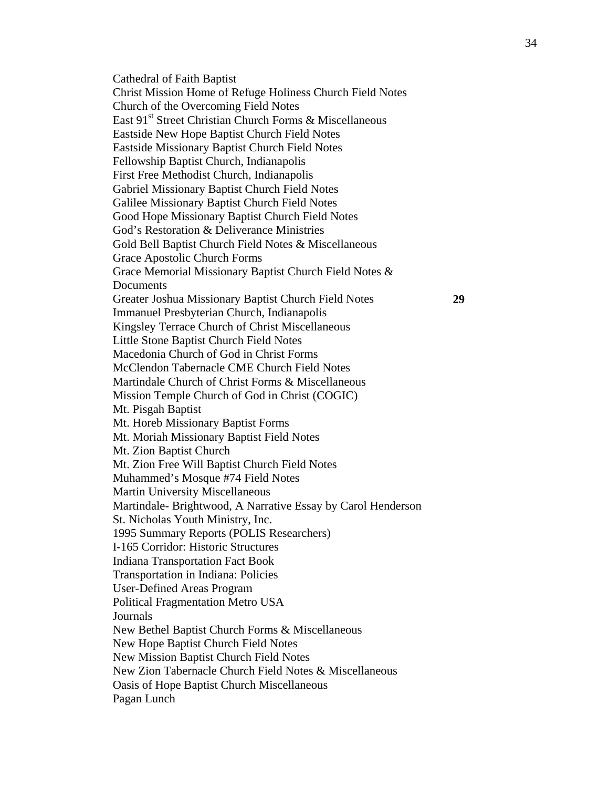Cathedral of Faith Baptist Christ Mission Home of Refuge Holiness Church Field Notes Church of the Overcoming Field Notes East 91<sup>st</sup> Street Christian Church Forms & Miscellaneous Eastside New Hope Baptist Church Field Notes Eastside Missionary Baptist Church Field Notes Fellowship Baptist Church, Indianapolis First Free Methodist Church, Indianapolis Gabriel Missionary Baptist Church Field Notes Galilee Missionary Baptist Church Field Notes Good Hope Missionary Baptist Church Field Notes God's Restoration & Deliverance Ministries Gold Bell Baptist Church Field Notes & Miscellaneous Grace Apostolic Church Forms Grace Memorial Missionary Baptist Church Field Notes & Documents Greater Joshua Missionary Baptist Church Field Notes **29**  Immanuel Presbyterian Church, Indianapolis Kingsley Terrace Church of Christ Miscellaneous Little Stone Baptist Church Field Notes Macedonia Church of God in Christ Forms McClendon Tabernacle CME Church Field Notes Martindale Church of Christ Forms & Miscellaneous Mission Temple Church of God in Christ (COGIC) Mt. Pisgah Baptist Mt. Horeb Missionary Baptist Forms Mt. Moriah Missionary Baptist Field Notes Mt. Zion Baptist Church Mt. Zion Free Will Baptist Church Field Notes Muhammed's Mosque #74 Field Notes Martin University Miscellaneous Martindale- Brightwood, A Narrative Essay by Carol Henderson St. Nicholas Youth Ministry, Inc. 1995 Summary Reports (POLIS Researchers) I-165 Corridor: Historic Structures Indiana Transportation Fact Book Transportation in Indiana: Policies User-Defined Areas Program Political Fragmentation Metro USA Journals New Bethel Baptist Church Forms & Miscellaneous New Hope Baptist Church Field Notes New Mission Baptist Church Field Notes New Zion Tabernacle Church Field Notes & Miscellaneous Oasis of Hope Baptist Church Miscellaneous Pagan Lunch

34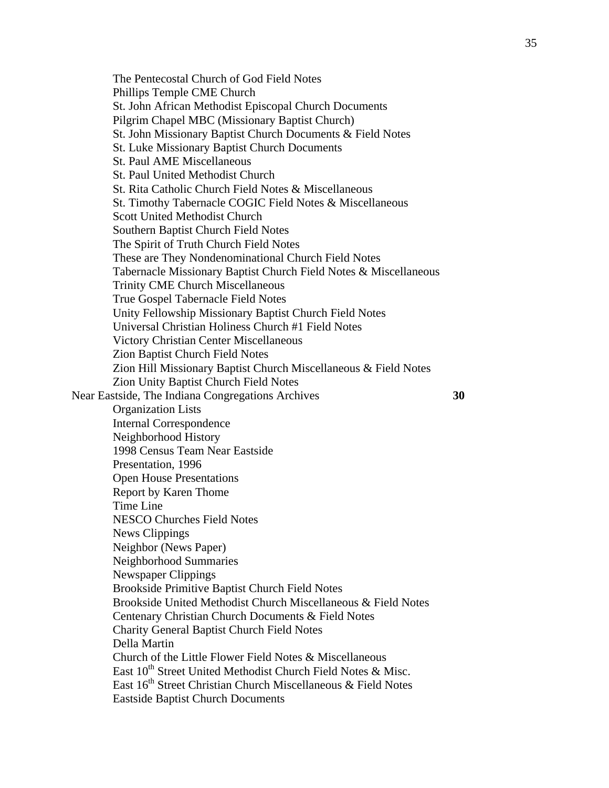The Pentecostal Church of God Field Notes Phillips Temple CME Church St. John African Methodist Episcopal Church Documents Pilgrim Chapel MBC (Missionary Baptist Church) St. John Missionary Baptist Church Documents & Field Notes St. Luke Missionary Baptist Church Documents St. Paul AME Miscellaneous St. Paul United Methodist Church St. Rita Catholic Church Field Notes & Miscellaneous St. Timothy Tabernacle COGIC Field Notes & Miscellaneous Scott United Methodist Church Southern Baptist Church Field Notes The Spirit of Truth Church Field Notes These are They Nondenominational Church Field Notes Tabernacle Missionary Baptist Church Field Notes & Miscellaneous Trinity CME Church Miscellaneous True Gospel Tabernacle Field Notes Unity Fellowship Missionary Baptist Church Field Notes Universal Christian Holiness Church #1 Field Notes Victory Christian Center Miscellaneous Zion Baptist Church Field Notes Zion Hill Missionary Baptist Church Miscellaneous & Field Notes Zion Unity Baptist Church Field Notes Near Eastside, The Indiana Congregations Archives **30**  Organization Lists Internal Correspondence Neighborhood History 1998 Census Team Near Eastside Presentation, 1996 Open House Presentations Report by Karen Thome Time Line NESCO Churches Field Notes News Clippings Neighbor (News Paper) Neighborhood Summaries Newspaper Clippings Brookside Primitive Baptist Church Field Notes Brookside United Methodist Church Miscellaneous & Field Notes Centenary Christian Church Documents & Field Notes Charity General Baptist Church Field Notes Della Martin Church of the Little Flower Field Notes & Miscellaneous East 10<sup>th</sup> Street United Methodist Church Field Notes & Misc. East 16<sup>th</sup> Street Christian Church Miscellaneous & Field Notes Eastside Baptist Church Documents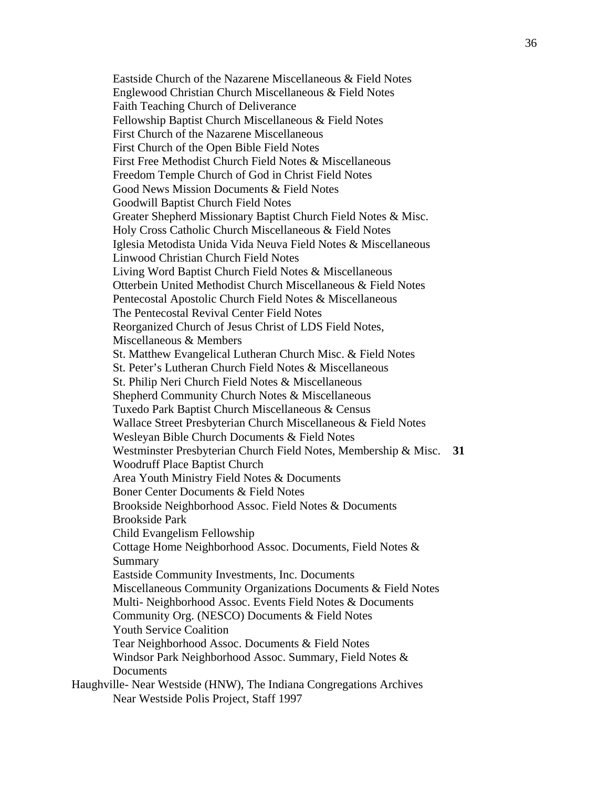Eastside Church of the Nazarene Miscellaneous & Field Notes Englewood Christian Church Miscellaneous & Field Notes Faith Teaching Church of Deliverance Fellowship Baptist Church Miscellaneous & Field Notes First Church of the Nazarene Miscellaneous First Church of the Open Bible Field Notes First Free Methodist Church Field Notes & Miscellaneous Freedom Temple Church of God in Christ Field Notes Good News Mission Documents & Field Notes Goodwill Baptist Church Field Notes Greater Shepherd Missionary Baptist Church Field Notes & Misc. Holy Cross Catholic Church Miscellaneous & Field Notes Iglesia Metodista Unida Vida Neuva Field Notes & Miscellaneous Linwood Christian Church Field Notes Living Word Baptist Church Field Notes & Miscellaneous Otterbein United Methodist Church Miscellaneous & Field Notes Pentecostal Apostolic Church Field Notes & Miscellaneous The Pentecostal Revival Center Field Notes Reorganized Church of Jesus Christ of LDS Field Notes, Miscellaneous & Members St. Matthew Evangelical Lutheran Church Misc. & Field Notes St. Peter's Lutheran Church Field Notes & Miscellaneous St. Philip Neri Church Field Notes & Miscellaneous Shepherd Community Church Notes & Miscellaneous Tuxedo Park Baptist Church Miscellaneous & Census Wallace Street Presbyterian Church Miscellaneous & Field Notes Wesleyan Bible Church Documents & Field Notes Westminster Presbyterian Church Field Notes, Membership & Misc. **31**  Woodruff Place Baptist Church Area Youth Ministry Field Notes & Documents Boner Center Documents & Field Notes Brookside Neighborhood Assoc. Field Notes & Documents Brookside Park Child Evangelism Fellowship Cottage Home Neighborhood Assoc. Documents, Field Notes & Summary Eastside Community Investments, Inc. Documents Miscellaneous Community Organizations Documents & Field Notes Multi- Neighborhood Assoc. Events Field Notes & Documents Community Org. (NESCO) Documents & Field Notes Youth Service Coalition Tear Neighborhood Assoc. Documents & Field Notes Windsor Park Neighborhood Assoc. Summary, Field Notes & **Documents** Haughville- Near Westside (HNW), The Indiana Congregations Archives Near Westside Polis Project, Staff 1997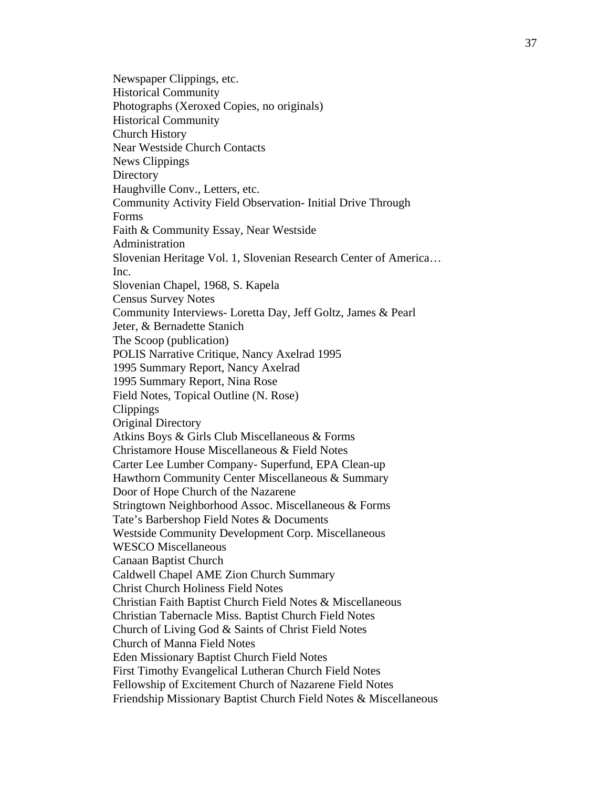Newspaper Clippings, etc. Historical Community Photographs (Xeroxed Copies, no originals) Historical Community Church History Near Westside Church Contacts News Clippings **Directory** Haughville Conv., Letters, etc. Community Activity Field Observation- Initial Drive Through Forms Faith & Community Essay, Near Westside Administration Slovenian Heritage Vol. 1, Slovenian Research Center of America… Inc. Slovenian Chapel, 1968, S. Kapela Census Survey Notes Community Interviews- Loretta Day, Jeff Goltz, James & Pearl Jeter, & Bernadette Stanich The Scoop (publication) POLIS Narrative Critique, Nancy Axelrad 1995 1995 Summary Report, Nancy Axelrad 1995 Summary Report, Nina Rose Field Notes, Topical Outline (N. Rose) Clippings Original Directory Atkins Boys & Girls Club Miscellaneous & Forms Christamore House Miscellaneous & Field Notes Carter Lee Lumber Company- Superfund, EPA Clean-up Hawthorn Community Center Miscellaneous & Summary Door of Hope Church of the Nazarene Stringtown Neighborhood Assoc. Miscellaneous & Forms Tate's Barbershop Field Notes & Documents Westside Community Development Corp. Miscellaneous WESCO Miscellaneous Canaan Baptist Church Caldwell Chapel AME Zion Church Summary Christ Church Holiness Field Notes Christian Faith Baptist Church Field Notes & Miscellaneous Christian Tabernacle Miss. Baptist Church Field Notes Church of Living God & Saints of Christ Field Notes Church of Manna Field Notes Eden Missionary Baptist Church Field Notes First Timothy Evangelical Lutheran Church Field Notes Fellowship of Excitement Church of Nazarene Field Notes Friendship Missionary Baptist Church Field Notes & Miscellaneous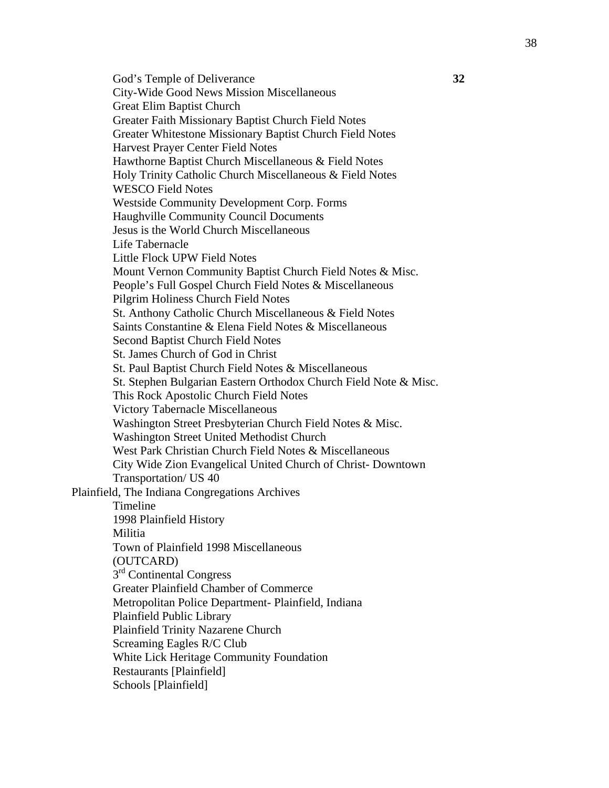God's Temple of Deliverance **32**  City-Wide Good News Mission Miscellaneous Great Elim Baptist Church Greater Faith Missionary Baptist Church Field Notes Greater Whitestone Missionary Baptist Church Field Notes Harvest Prayer Center Field Notes Hawthorne Baptist Church Miscellaneous & Field Notes Holy Trinity Catholic Church Miscellaneous & Field Notes WESCO Field Notes Westside Community Development Corp. Forms Haughville Community Council Documents Jesus is the World Church Miscellaneous Life Tabernacle Little Flock UPW Field Notes Mount Vernon Community Baptist Church Field Notes & Misc. People's Full Gospel Church Field Notes & Miscellaneous Pilgrim Holiness Church Field Notes St. Anthony Catholic Church Miscellaneous & Field Notes Saints Constantine & Elena Field Notes & Miscellaneous Second Baptist Church Field Notes St. James Church of God in Christ St. Paul Baptist Church Field Notes & Miscellaneous St. Stephen Bulgarian Eastern Orthodox Church Field Note & Misc. This Rock Apostolic Church Field Notes Victory Tabernacle Miscellaneous Washington Street Presbyterian Church Field Notes & Misc. Washington Street United Methodist Church West Park Christian Church Field Notes & Miscellaneous City Wide Zion Evangelical United Church of Christ- Downtown Transportation/ US 40 Plainfield, The Indiana Congregations Archives Timeline 1998 Plainfield History Militia Town of Plainfield 1998 Miscellaneous (OUTCARD) 3<sup>rd</sup> Continental Congress Greater Plainfield Chamber of Commerce Metropolitan Police Department- Plainfield, Indiana Plainfield Public Library Plainfield Trinity Nazarene Church Screaming Eagles R/C Club White Lick Heritage Community Foundation Restaurants [Plainfield] Schools [Plainfield]

38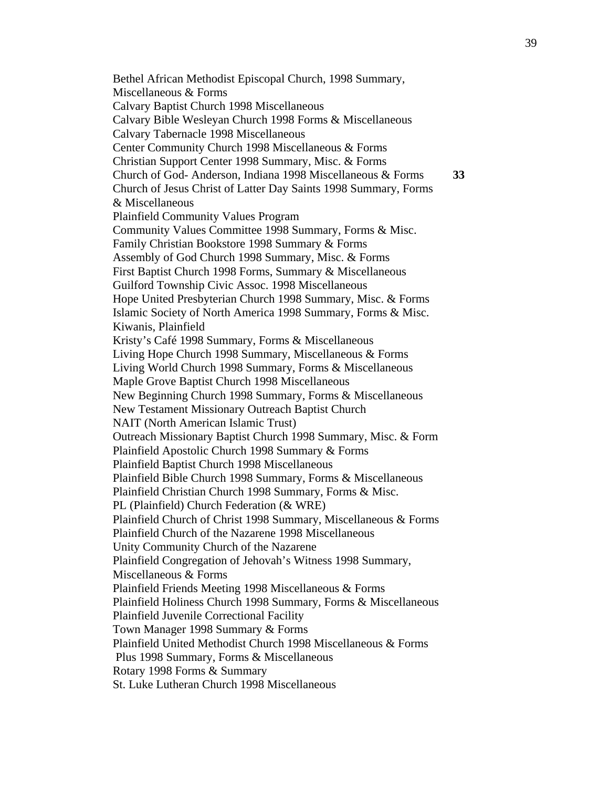Bethel African Methodist Episcopal Church, 1998 Summary, Miscellaneous & Forms Calvary Baptist Church 1998 Miscellaneous Calvary Bible Wesleyan Church 1998 Forms & Miscellaneous Calvary Tabernacle 1998 Miscellaneous Center Community Church 1998 Miscellaneous & Forms Christian Support Center 1998 Summary, Misc. & Forms Church of God- Anderson, Indiana 1998 Miscellaneous & Forms **33**  Church of Jesus Christ of Latter Day Saints 1998 Summary, Forms & Miscellaneous Plainfield Community Values Program Community Values Committee 1998 Summary, Forms & Misc. Family Christian Bookstore 1998 Summary & Forms Assembly of God Church 1998 Summary, Misc. & Forms First Baptist Church 1998 Forms, Summary & Miscellaneous Guilford Township Civic Assoc. 1998 Miscellaneous Hope United Presbyterian Church 1998 Summary, Misc. & Forms Islamic Society of North America 1998 Summary, Forms & Misc. Kiwanis, Plainfield Kristy's Café 1998 Summary, Forms & Miscellaneous Living Hope Church 1998 Summary, Miscellaneous & Forms Living World Church 1998 Summary, Forms & Miscellaneous Maple Grove Baptist Church 1998 Miscellaneous New Beginning Church 1998 Summary, Forms & Miscellaneous New Testament Missionary Outreach Baptist Church NAIT (North American Islamic Trust) Outreach Missionary Baptist Church 1998 Summary, Misc. & Form Plainfield Apostolic Church 1998 Summary & Forms Plainfield Baptist Church 1998 Miscellaneous Plainfield Bible Church 1998 Summary, Forms & Miscellaneous Plainfield Christian Church 1998 Summary, Forms & Misc. PL (Plainfield) Church Federation (& WRE) Plainfield Church of Christ 1998 Summary, Miscellaneous & Forms Plainfield Church of the Nazarene 1998 Miscellaneous Unity Community Church of the Nazarene Plainfield Congregation of Jehovah's Witness 1998 Summary, Miscellaneous & Forms Plainfield Friends Meeting 1998 Miscellaneous & Forms Plainfield Holiness Church 1998 Summary, Forms & Miscellaneous Plainfield Juvenile Correctional Facility Town Manager 1998 Summary & Forms Plainfield United Methodist Church 1998 Miscellaneous & Forms Plus 1998 Summary, Forms & Miscellaneous Rotary 1998 Forms & Summary St. Luke Lutheran Church 1998 Miscellaneous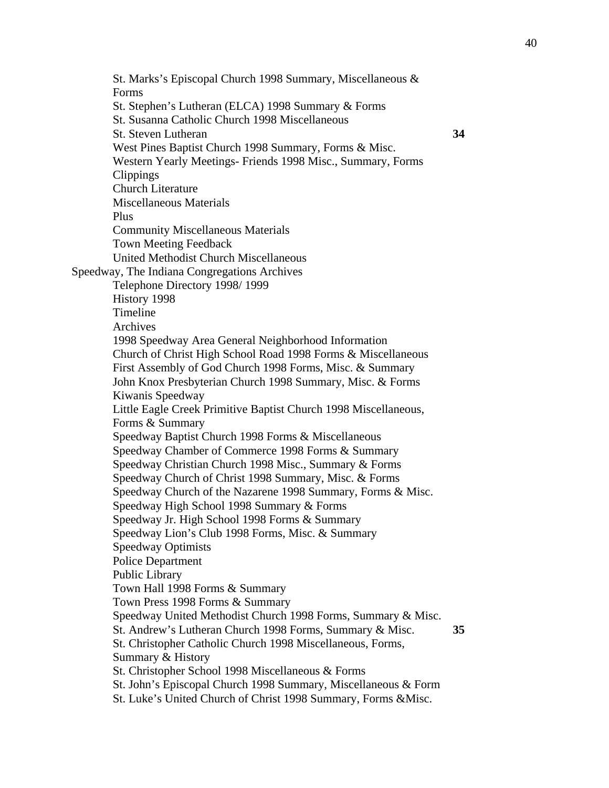St. Marks's Episcopal Church 1998 Summary, Miscellaneous & Forms St. Stephen's Lutheran (ELCA) 1998 Summary & Forms St. Susanna Catholic Church 1998 Miscellaneous St. Steven Lutheran **34**  West Pines Baptist Church 1998 Summary, Forms & Misc. Western Yearly Meetings- Friends 1998 Misc., Summary, Forms Clippings Church Literature Miscellaneous Materials Plus Community Miscellaneous Materials Town Meeting Feedback United Methodist Church Miscellaneous Speedway, The Indiana Congregations Archives Telephone Directory 1998/ 1999 History 1998 Timeline Archives 1998 Speedway Area General Neighborhood Information Church of Christ High School Road 1998 Forms & Miscellaneous First Assembly of God Church 1998 Forms, Misc. & Summary John Knox Presbyterian Church 1998 Summary, Misc. & Forms Kiwanis Speedway Little Eagle Creek Primitive Baptist Church 1998 Miscellaneous, Forms & Summary Speedway Baptist Church 1998 Forms & Miscellaneous Speedway Chamber of Commerce 1998 Forms & Summary Speedway Christian Church 1998 Misc., Summary & Forms Speedway Church of Christ 1998 Summary, Misc. & Forms Speedway Church of the Nazarene 1998 Summary, Forms & Misc. Speedway High School 1998 Summary & Forms Speedway Jr. High School 1998 Forms & Summary Speedway Lion's Club 1998 Forms, Misc. & Summary Speedway Optimists Police Department Public Library Town Hall 1998 Forms & Summary Town Press 1998 Forms & Summary Speedway United Methodist Church 1998 Forms, Summary & Misc. St. Andrew's Lutheran Church 1998 Forms, Summary & Misc. **35**  St. Christopher Catholic Church 1998 Miscellaneous, Forms, Summary & History St. Christopher School 1998 Miscellaneous & Forms St. John's Episcopal Church 1998 Summary, Miscellaneous & Form St. Luke's United Church of Christ 1998 Summary, Forms &Misc.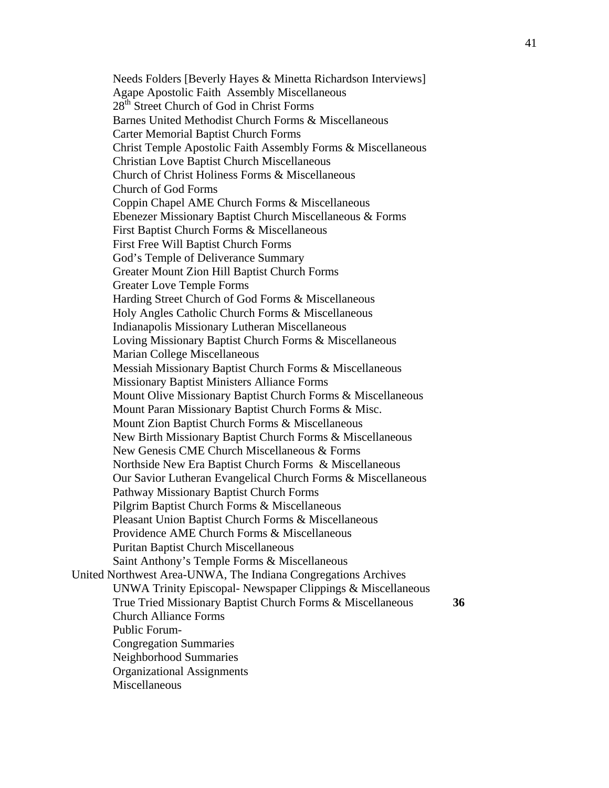Needs Folders [Beverly Hayes & Minetta Richardson Interviews] Agape Apostolic Faith Assembly Miscellaneous 28<sup>th</sup> Street Church of God in Christ Forms Barnes United Methodist Church Forms & Miscellaneous Carter Memorial Baptist Church Forms Christ Temple Apostolic Faith Assembly Forms & Miscellaneous Christian Love Baptist Church Miscellaneous Church of Christ Holiness Forms & Miscellaneous Church of God Forms Coppin Chapel AME Church Forms & Miscellaneous Ebenezer Missionary Baptist Church Miscellaneous & Forms First Baptist Church Forms & Miscellaneous First Free Will Baptist Church Forms God's Temple of Deliverance Summary Greater Mount Zion Hill Baptist Church Forms Greater Love Temple Forms Harding Street Church of God Forms & Miscellaneous Holy Angles Catholic Church Forms & Miscellaneous Indianapolis Missionary Lutheran Miscellaneous Loving Missionary Baptist Church Forms & Miscellaneous Marian College Miscellaneous Messiah Missionary Baptist Church Forms & Miscellaneous Missionary Baptist Ministers Alliance Forms Mount Olive Missionary Baptist Church Forms & Miscellaneous Mount Paran Missionary Baptist Church Forms & Misc. Mount Zion Baptist Church Forms & Miscellaneous New Birth Missionary Baptist Church Forms & Miscellaneous New Genesis CME Church Miscellaneous & Forms Northside New Era Baptist Church Forms & Miscellaneous Our Savior Lutheran Evangelical Church Forms & Miscellaneous Pathway Missionary Baptist Church Forms Pilgrim Baptist Church Forms & Miscellaneous Pleasant Union Baptist Church Forms & Miscellaneous Providence AME Church Forms & Miscellaneous Puritan Baptist Church Miscellaneous Saint Anthony's Temple Forms & Miscellaneous United Northwest Area-UNWA, The Indiana Congregations Archives UNWA Trinity Episcopal- Newspaper Clippings & Miscellaneous True Tried Missionary Baptist Church Forms & Miscellaneous **36**  Church Alliance Forms Public Forum-Congregation Summaries Neighborhood Summaries Organizational Assignments Miscellaneous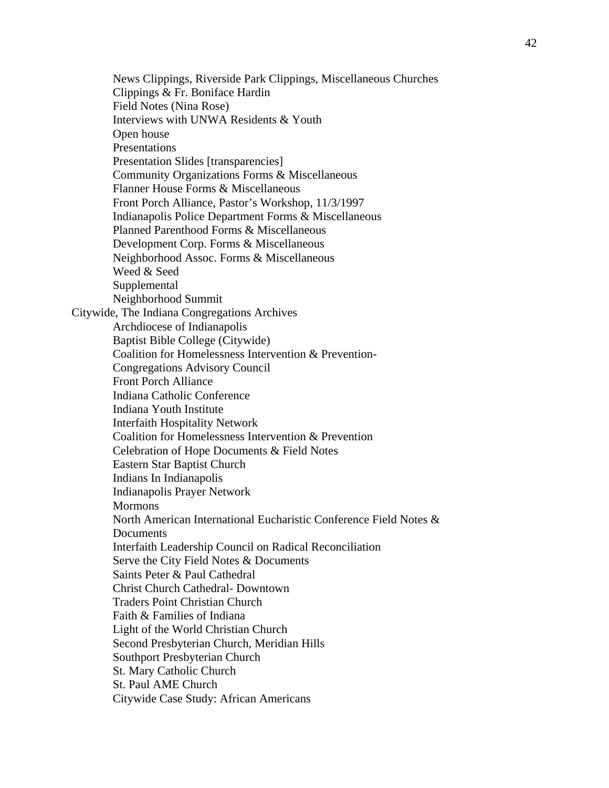News Clippings, Riverside Park Clippings, Miscellaneous Churches Clippings & Fr. Boniface Hardin Field Notes (Nina Rose) Interviews with UNWA Residents & Youth Open house Presentations Presentation Slides [transparencies] Community Organizations Forms & Miscellaneous Flanner House Forms & Miscellaneous Front Porch Alliance, Pastor's Workshop, 11/3/1997 Indianapolis Police Department Forms & Miscellaneous Planned Parenthood Forms & Miscellaneous Development Corp. Forms & Miscellaneous Neighborhood Assoc. Forms & Miscellaneous Weed & Seed Supplemental Neighborhood Summit Citywide, The Indiana Congregations Archives Archdiocese of Indianapolis Baptist Bible College (Citywide) Coalition for Homelessness Intervention & Prevention-Congregations Advisory Council Front Porch Alliance Indiana Catholic Conference Indiana Youth Institute Interfaith Hospitality Network Coalition for Homelessness Intervention & Prevention Celebration of Hope Documents & Field Notes Eastern Star Baptist Church Indians In Indianapolis Indianapolis Prayer Network **Mormons** North American International Eucharistic Conference Field Notes & **Documents** Interfaith Leadership Council on Radical Reconciliation Serve the City Field Notes & Documents Saints Peter & Paul Cathedral Christ Church Cathedral- Downtown Traders Point Christian Church Faith & Families of Indiana Light of the World Christian Church Second Presbyterian Church, Meridian Hills Southport Presbyterian Church St. Mary Catholic Church St. Paul AME Church Citywide Case Study: African Americans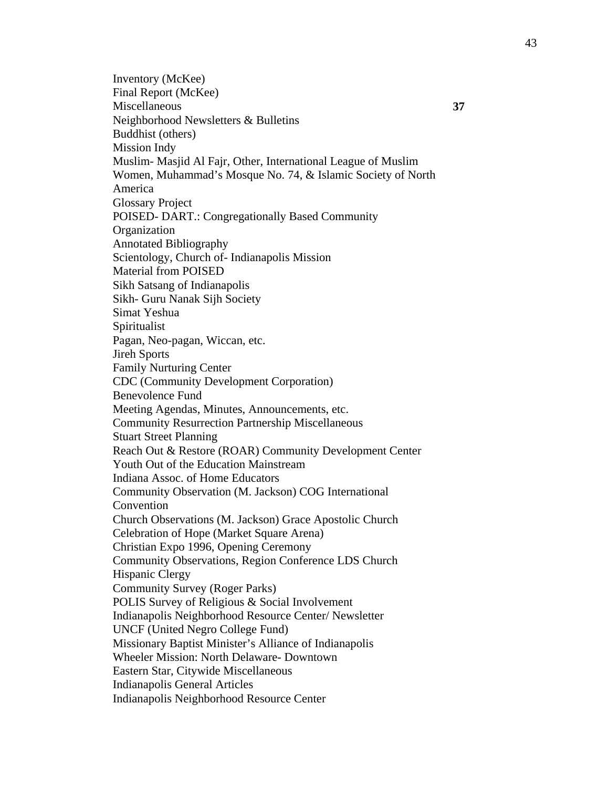Inventory (McKee) Final Report (McKee) Miscellaneous **37**  Neighborhood Newsletters & Bulletins Buddhist (others) Mission Indy Muslim- Masjid Al Fajr, Other, International League of Muslim Women, Muhammad's Mosque No. 74, & Islamic Society of North America Glossary Project POISED- DART.: Congregationally Based Community Organization Annotated Bibliography Scientology, Church of- Indianapolis Mission Material from POISED Sikh Satsang of Indianapolis Sikh- Guru Nanak Sijh Society Simat Yeshua Spiritualist Pagan, Neo-pagan, Wiccan, etc. Jireh Sports Family Nurturing Center CDC (Community Development Corporation) Benevolence Fund Meeting Agendas, Minutes, Announcements, etc. Community Resurrection Partnership Miscellaneous Stuart Street Planning Reach Out & Restore (ROAR) Community Development Center Youth Out of the Education Mainstream Indiana Assoc. of Home Educators Community Observation (M. Jackson) COG International Convention Church Observations (M. Jackson) Grace Apostolic Church Celebration of Hope (Market Square Arena) Christian Expo 1996, Opening Ceremony Community Observations, Region Conference LDS Church Hispanic Clergy Community Survey (Roger Parks) POLIS Survey of Religious & Social Involvement Indianapolis Neighborhood Resource Center/ Newsletter UNCF (United Negro College Fund) Missionary Baptist Minister's Alliance of Indianapolis Wheeler Mission: North Delaware- Downtown Eastern Star, Citywide Miscellaneous Indianapolis General Articles Indianapolis Neighborhood Resource Center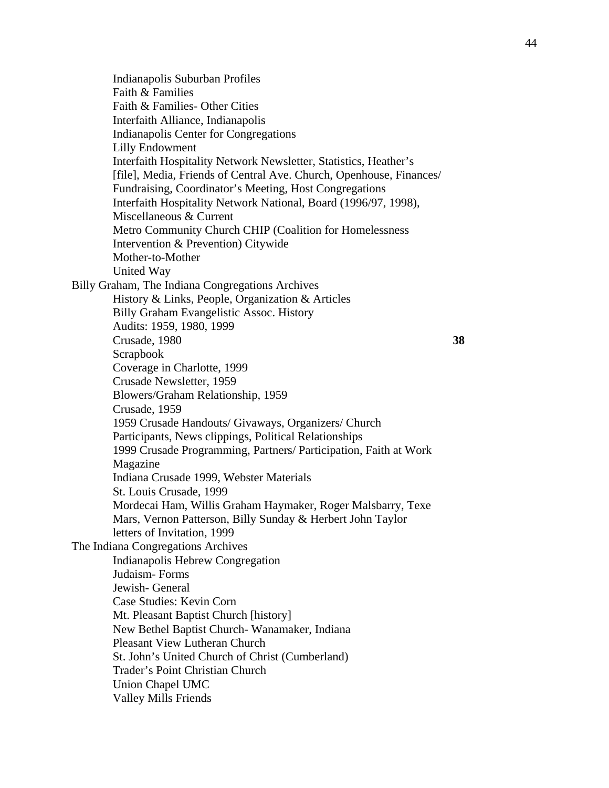Indianapolis Suburban Profiles Faith & Families Faith & Families- Other Cities Interfaith Alliance, Indianapolis Indianapolis Center for Congregations Lilly Endowment Interfaith Hospitality Network Newsletter, Statistics, Heather's [file], Media, Friends of Central Ave. Church, Openhouse, Finances/ Fundraising, Coordinator's Meeting, Host Congregations Interfaith Hospitality Network National, Board (1996/97, 1998), Miscellaneous & Current Metro Community Church CHIP (Coalition for Homelessness Intervention & Prevention) Citywide Mother-to-Mother United Way Billy Graham, The Indiana Congregations Archives History & Links, People, Organization & Articles Billy Graham Evangelistic Assoc. History Audits: 1959, 1980, 1999 Crusade, 1980 **38**  Scrapbook Coverage in Charlotte, 1999 Crusade Newsletter, 1959 Blowers/Graham Relationship, 1959 Crusade, 1959 1959 Crusade Handouts/ Givaways, Organizers/ Church Participants, News clippings, Political Relationships 1999 Crusade Programming, Partners/ Participation, Faith at Work Magazine Indiana Crusade 1999, Webster Materials St. Louis Crusade, 1999 Mordecai Ham, Willis Graham Haymaker, Roger Malsbarry, Texe Mars, Vernon Patterson, Billy Sunday & Herbert John Taylor letters of Invitation, 1999 The Indiana Congregations Archives Indianapolis Hebrew Congregation Judaism- Forms Jewish- General Case Studies: Kevin Corn Mt. Pleasant Baptist Church [history] New Bethel Baptist Church- Wanamaker, Indiana Pleasant View Lutheran Church St. John's United Church of Christ (Cumberland) Trader's Point Christian Church Union Chapel UMC Valley Mills Friends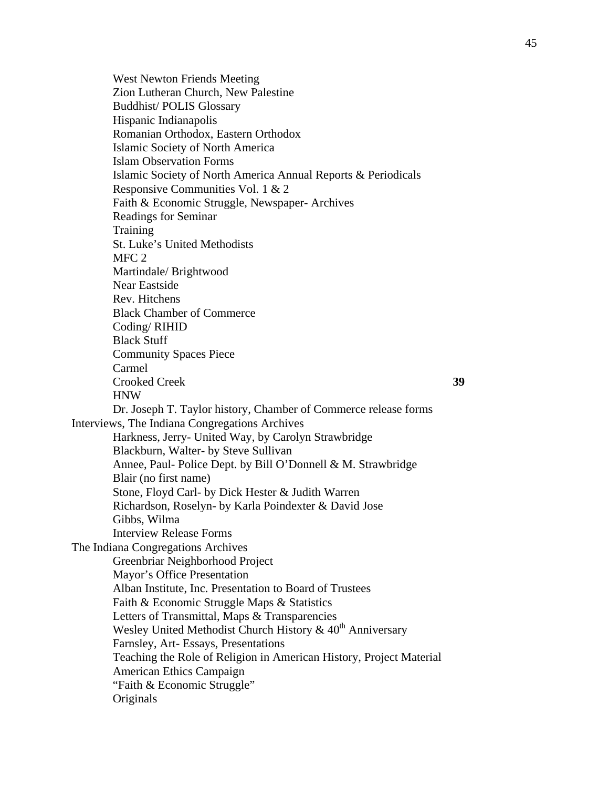West Newton Friends Meeting Zion Lutheran Church, New Palestine Buddhist/ POLIS Glossary Hispanic Indianapolis Romanian Orthodox, Eastern Orthodox Islamic Society of North America Islam Observation Forms Islamic Society of North America Annual Reports & Periodicals Responsive Communities Vol. 1 & 2 Faith & Economic Struggle, Newspaper- Archives Readings for Seminar **Training** St. Luke's United Methodists M<sub>FC</sub> 2 Martindale/ Brightwood Near Eastside Rev. Hitchens Black Chamber of Commerce Coding/ RIHID Black Stuff Community Spaces Piece Carmel Crooked Creek **39**  HNW Dr. Joseph T. Taylor history, Chamber of Commerce release forms Interviews, The Indiana Congregations Archives Harkness, Jerry- United Way, by Carolyn Strawbridge Blackburn, Walter- by Steve Sullivan Annee, Paul- Police Dept. by Bill O'Donnell & M. Strawbridge Blair (no first name) Stone, Floyd Carl- by Dick Hester & Judith Warren Richardson, Roselyn- by Karla Poindexter & David Jose Gibbs, Wilma Interview Release Forms The Indiana Congregations Archives Greenbriar Neighborhood Project Mayor's Office Presentation Alban Institute, Inc. Presentation to Board of Trustees Faith & Economic Struggle Maps & Statistics Letters of Transmittal, Maps & Transparencies Wesley United Methodist Church History  $& 40<sup>th</sup>$  Anniversary Farnsley, Art- Essays, Presentations Teaching the Role of Religion in American History, Project Material American Ethics Campaign "Faith & Economic Struggle" **Originals**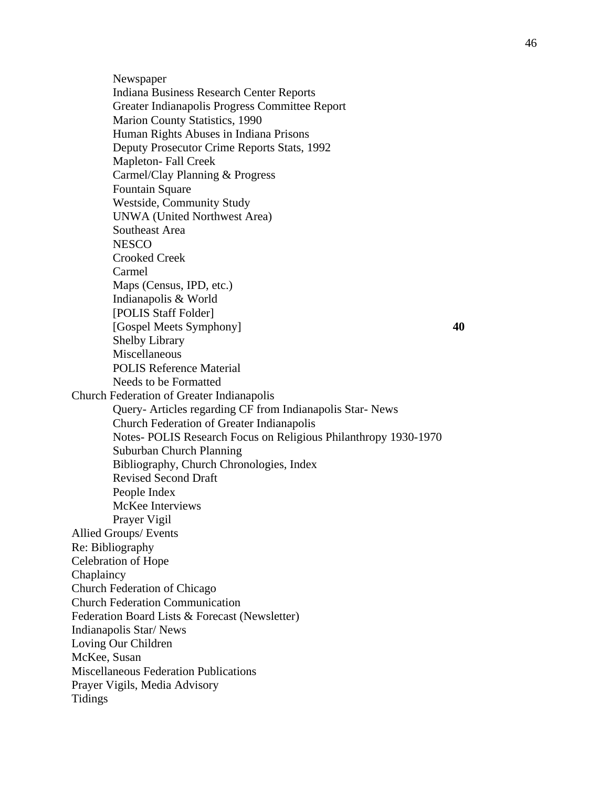Newspaper Indiana Business Research Center Reports Greater Indianapolis Progress Committee Report Marion County Statistics, 1990 Human Rights Abuses in Indiana Prisons Deputy Prosecutor Crime Reports Stats, 1992 Mapleton- Fall Creek Carmel/Clay Planning & Progress Fountain Square Westside, Community Study UNWA (United Northwest Area) Southeast Area **NESCO** Crooked Creek Carmel Maps (Census, IPD, etc.) Indianapolis & World [POLIS Staff Folder] [Gospel Meets Symphony] **40**  Shelby Library Miscellaneous POLIS Reference Material Needs to be Formatted Church Federation of Greater Indianapolis Query- Articles regarding CF from Indianapolis Star- News Church Federation of Greater Indianapolis Notes- POLIS Research Focus on Religious Philanthropy 1930-1970 Suburban Church Planning Bibliography, Church Chronologies, Index Revised Second Draft People Index McKee Interviews Prayer Vigil Allied Groups/ Events Re: Bibliography Celebration of Hope Chaplaincy Church Federation of Chicago Church Federation Communication Federation Board Lists & Forecast (Newsletter) Indianapolis Star/ News Loving Our Children McKee, Susan Miscellaneous Federation Publications Prayer Vigils, Media Advisory Tidings

46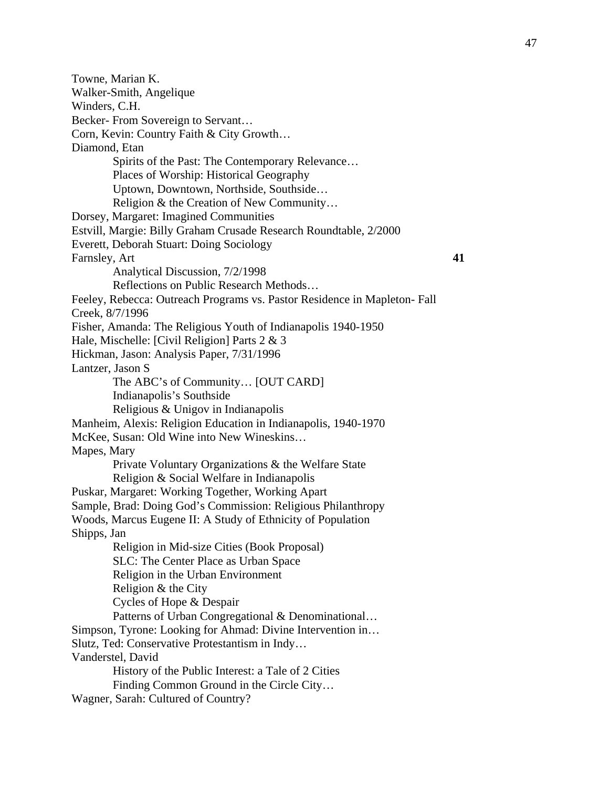Towne, Marian K. Walker-Smith, Angelique Winders, C.H. Becker- From Sovereign to Servant… Corn, Kevin: Country Faith & City Growth… Diamond, Etan Spirits of the Past: The Contemporary Relevance… Places of Worship: Historical Geography Uptown, Downtown, Northside, Southside… Religion & the Creation of New Community… Dorsey, Margaret: Imagined Communities Estvill, Margie: Billy Graham Crusade Research Roundtable, 2/2000 Everett, Deborah Stuart: Doing Sociology Farnsley, Art **41** Analytical Discussion, 7/2/1998 Reflections on Public Research Methods… Feeley, Rebecca: Outreach Programs vs. Pastor Residence in Mapleton- Fall Creek, 8/7/1996 Fisher, Amanda: The Religious Youth of Indianapolis 1940-1950 Hale, Mischelle: [Civil Religion] Parts 2 & 3 Hickman, Jason: Analysis Paper, 7/31/1996 Lantzer, Jason S The ABC's of Community… [OUT CARD] Indianapolis's Southside Religious & Unigov in Indianapolis Manheim, Alexis: Religion Education in Indianapolis, 1940-1970 McKee, Susan: Old Wine into New Wineskins… Mapes, Mary Private Voluntary Organizations & the Welfare State Religion & Social Welfare in Indianapolis Puskar, Margaret: Working Together, Working Apart Sample, Brad: Doing God's Commission: Religious Philanthropy Woods, Marcus Eugene II: A Study of Ethnicity of Population Shipps, Jan Religion in Mid-size Cities (Book Proposal) SLC: The Center Place as Urban Space Religion in the Urban Environment Religion & the City Cycles of Hope & Despair Patterns of Urban Congregational & Denominational... Simpson, Tyrone: Looking for Ahmad: Divine Intervention in… Slutz, Ted: Conservative Protestantism in Indy… Vanderstel, David History of the Public Interest: a Tale of 2 Cities Finding Common Ground in the Circle City… Wagner, Sarah: Cultured of Country?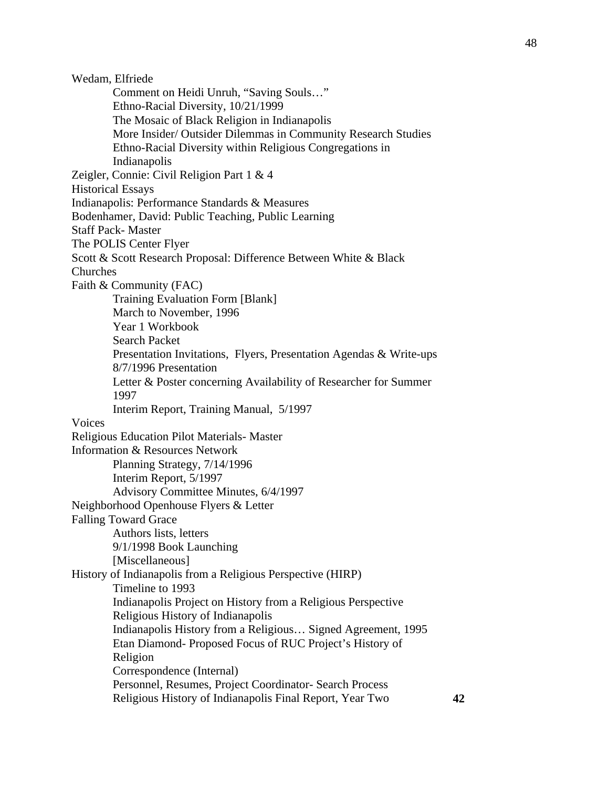Wedam, Elfriede Comment on Heidi Unruh, "Saving Souls…" Ethno-Racial Diversity, 10/21/1999 The Mosaic of Black Religion in Indianapolis More Insider/ Outsider Dilemmas in Community Research Studies Ethno-Racial Diversity within Religious Congregations in Indianapolis Zeigler, Connie: Civil Religion Part 1 & 4 Historical Essays Indianapolis: Performance Standards & Measures Bodenhamer, David: Public Teaching, Public Learning Staff Pack- Master The POLIS Center Flyer Scott & Scott Research Proposal: Difference Between White & Black Churches Faith & Community (FAC) Training Evaluation Form [Blank] March to November, 1996 Year 1 Workbook Search Packet Presentation Invitations, Flyers, Presentation Agendas & Write-ups 8/7/1996 Presentation Letter & Poster concerning Availability of Researcher for Summer 1997 Interim Report, Training Manual, 5/1997 Voices Religious Education Pilot Materials- Master Information & Resources Network Planning Strategy, 7/14/1996 Interim Report, 5/1997 Advisory Committee Minutes, 6/4/1997 Neighborhood Openhouse Flyers & Letter Falling Toward Grace Authors lists, letters 9/1/1998 Book Launching [Miscellaneous] History of Indianapolis from a Religious Perspective (HIRP) Timeline to 1993 Indianapolis Project on History from a Religious Perspective Religious History of Indianapolis Indianapolis History from a Religious… Signed Agreement, 1995 Etan Diamond- Proposed Focus of RUC Project's History of Religion Correspondence (Internal) Personnel, Resumes, Project Coordinator- Search Process Religious History of Indianapolis Final Report, Year Two **42**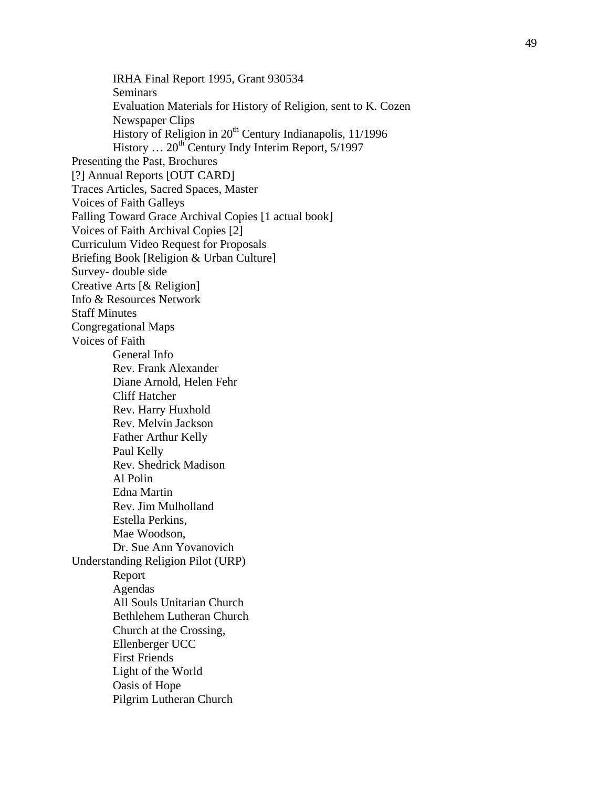IRHA Final Report 1995, Grant 930534 Seminars Evaluation Materials for History of Religion, sent to K. Cozen Newspaper Clips History of Religion in 20<sup>th</sup> Century Indianapolis, 11/1996 History ... 20<sup>th</sup> Century Indy Interim Report, 5/1997 Presenting the Past, Brochures [?] Annual Reports [OUT CARD] Traces Articles, Sacred Spaces, Master Voices of Faith Galleys Falling Toward Grace Archival Copies [1 actual book] Voices of Faith Archival Copies [2] Curriculum Video Request for Proposals Briefing Book [Religion & Urban Culture] Survey- double side Creative Arts [& Religion] Info & Resources Network Staff Minutes Congregational Maps Voices of Faith General Info Rev. Frank Alexander Diane Arnold, Helen Fehr Cliff Hatcher Rev. Harry Huxhold Rev. Melvin Jackson Father Arthur Kelly Paul Kelly Rev. Shedrick Madison Al Polin Edna Martin Rev. Jim Mulholland Estella Perkins, Mae Woodson, Dr. Sue Ann Yovanovich Understanding Religion Pilot (URP) Report Agendas All Souls Unitarian Church Bethlehem Lutheran Church Church at the Crossing, Ellenberger UCC First Friends Light of the World Oasis of Hope Pilgrim Lutheran Church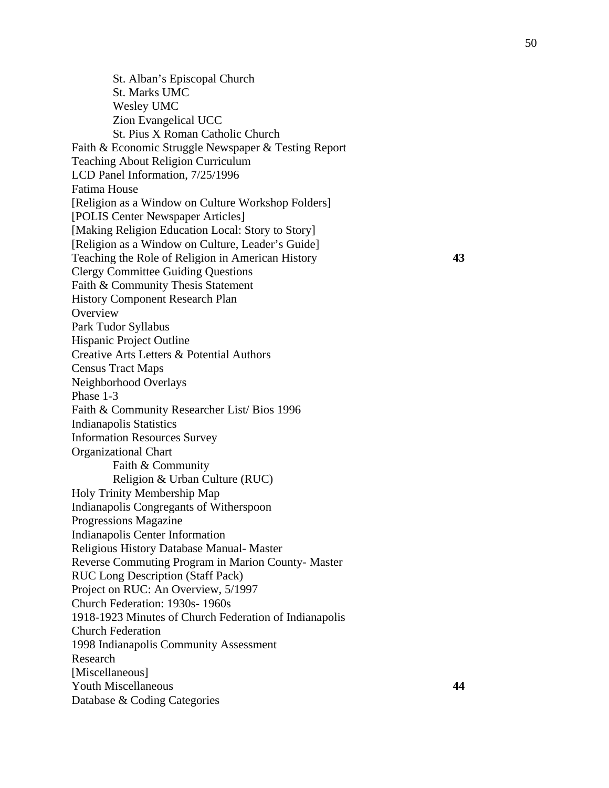St. Alban's Episcopal Church St. Marks UMC Wesley UMC Zion Evangelical UCC St. Pius X Roman Catholic Church Faith & Economic Struggle Newspaper & Testing Report Teaching About Religion Curriculum LCD Panel Information, 7/25/1996 Fatima House [Religion as a Window on Culture Workshop Folders] [POLIS Center Newspaper Articles] [Making Religion Education Local: Story to Story] [Religion as a Window on Culture, Leader's Guide] Teaching the Role of Religion in American History **43**  Clergy Committee Guiding Questions Faith & Community Thesis Statement History Component Research Plan **Overview** Park Tudor Syllabus Hispanic Project Outline Creative Arts Letters & Potential Authors Census Tract Maps Neighborhood Overlays Phase 1-3 Faith & Community Researcher List/ Bios 1996 Indianapolis Statistics Information Resources Survey Organizational Chart Faith & Community Religion & Urban Culture (RUC) Holy Trinity Membership Map Indianapolis Congregants of Witherspoon Progressions Magazine Indianapolis Center Information Religious History Database Manual- Master Reverse Commuting Program in Marion County- Master RUC Long Description (Staff Pack) Project on RUC: An Overview, 5/1997 Church Federation: 1930s- 1960s 1918-1923 Minutes of Church Federation of Indianapolis Church Federation 1998 Indianapolis Community Assessment Research [Miscellaneous] Youth Miscellaneous **44**  Database & Coding Categories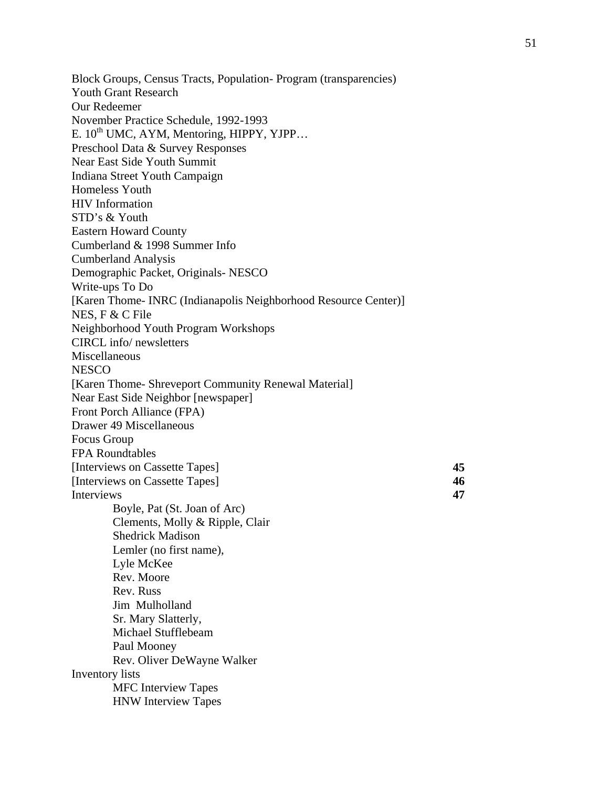Block Groups, Census Tracts, Population- Program (transparencies) Youth Grant Research Our Redeemer November Practice Schedule, 1992-1993 E.  $10^{th}$  UMC, AYM, Mentoring, HIPPY, YJPP... Preschool Data & Survey Responses Near East Side Youth Summit Indiana Street Youth Campaign Homeless Youth HIV Information STD's & Youth Eastern Howard County Cumberland & 1998 Summer Info Cumberland Analysis Demographic Packet, Originals- NESCO Write-ups To Do [Karen Thome- INRC (Indianapolis Neighborhood Resource Center)] NES, F & C File Neighborhood Youth Program Workshops CIRCL info/ newsletters Miscellaneous **NESCO** [Karen Thome- Shreveport Community Renewal Material] Near East Side Neighbor [newspaper] Front Porch Alliance (FPA) Drawer 49 Miscellaneous Focus Group FPA Roundtables [Interviews on Cassette Tapes] **45**  [Interviews on Cassette Tapes] **46**  Interviews **47**  Boyle, Pat (St. Joan of Arc) Clements, Molly & Ripple, Clair Shedrick Madison Lemler (no first name), Lyle McKee Rev. Moore Rev. Russ Jim Mulholland Sr. Mary Slatterly, Michael Stufflebeam Paul Mooney Rev. Oliver DeWayne Walker Inventory lists MFC Interview Tapes HNW Interview Tapes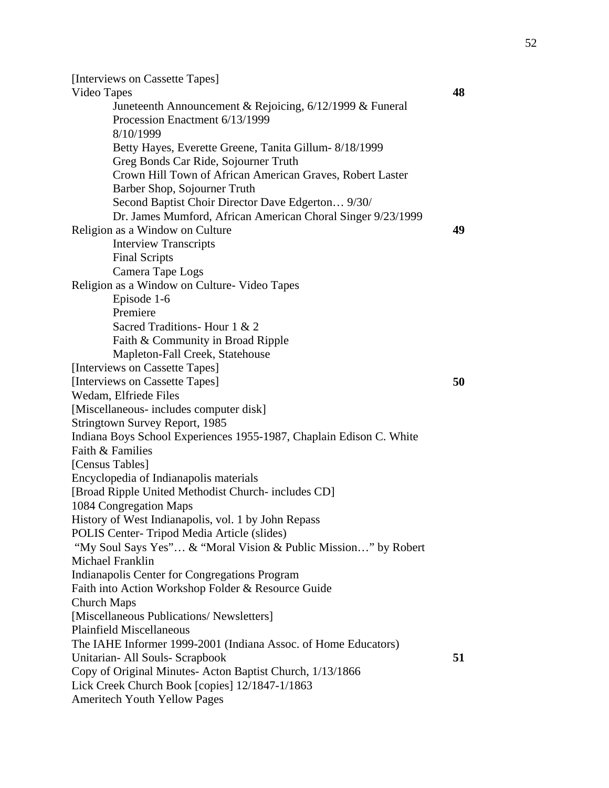[Interviews on Cassette Tapes] Video Tapes **48**  Juneteenth Announcement & Rejoicing, 6/12/1999 & Funeral Procession Enactment 6/13/1999 8/10/1999 Betty Hayes, Everette Greene, Tanita Gillum- 8/18/1999 Greg Bonds Car Ride, Sojourner Truth Crown Hill Town of African American Graves, Robert Laster Barber Shop, Sojourner Truth Second Baptist Choir Director Dave Edgerton… 9/30/ Dr. James Mumford, African American Choral Singer 9/23/1999 Religion as a Window on Culture **49**  Interview Transcripts Final Scripts Camera Tape Logs Religion as a Window on Culture- Video Tapes Episode 1-6 Premiere Sacred Traditions- Hour 1 & 2 Faith & Community in Broad Ripple Mapleton-Fall Creek, Statehouse [Interviews on Cassette Tapes] [Interviews on Cassette Tapes] **50**  Wedam, Elfriede Files [Miscellaneous- includes computer disk] Stringtown Survey Report, 1985 Indiana Boys School Experiences 1955-1987, Chaplain Edison C. White Faith & Families [Census Tables] Encyclopedia of Indianapolis materials [Broad Ripple United Methodist Church- includes CD] 1084 Congregation Maps History of West Indianapolis, vol. 1 by John Repass POLIS Center- Tripod Media Article (slides) "My Soul Says Yes"… & "Moral Vision & Public Mission…" by Robert Michael Franklin Indianapolis Center for Congregations Program Faith into Action Workshop Folder & Resource Guide Church Maps [Miscellaneous Publications/ Newsletters] Plainfield Miscellaneous The IAHE Informer 1999-2001 (Indiana Assoc. of Home Educators) Unitarian- All Souls- Scrapbook **51**  Copy of Original Minutes- Acton Baptist Church, 1/13/1866 Lick Creek Church Book [copies] 12/1847-1/1863 Ameritech Youth Yellow Pages